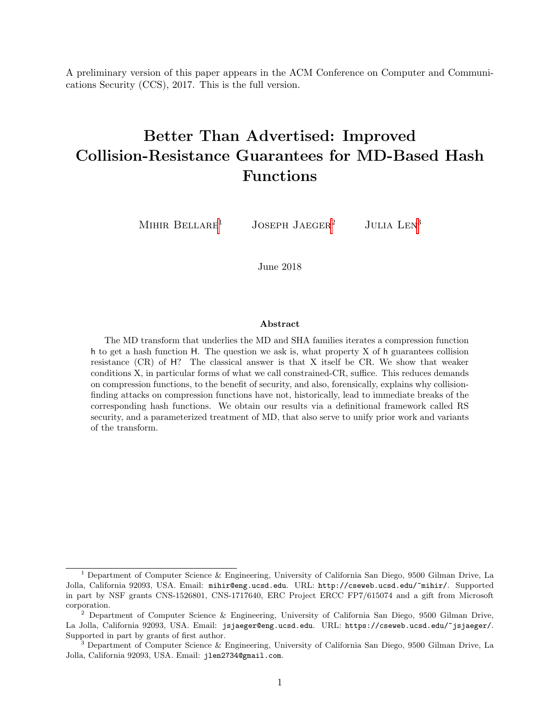A preliminary version of this paper appears in the ACM Conference on Computer and Communications Security (CCS), 2017. This is the full version.

# Better Than Advertised: Improved Collision-Resistance Guarantees for MD-Based Hash Functions

MIHIR BELLARE<sup>1</sup> JOSEPH JAEGER<sup>2</sup> JULIA LEN<sup>3</sup>

June 2018

#### Abstract

The MD transform that underlies the MD and SHA families iterates a compression function h to get a hash function H. The question we ask is, what property X of h guarantees collision resistance (CR) of H? The classical answer is that X itself be CR. We show that weaker conditions X, in particular forms of what we call constrained-CR, suffice. This reduces demands on compression functions, to the benefit of security, and also, forensically, explains why collisionfinding attacks on compression functions have not, historically, lead to immediate breaks of the corresponding hash functions. We obtain our results via a definitional framework called RS security, and a parameterized treatment of MD, that also serve to unify prior work and variants of the transform.

<sup>&</sup>lt;sup>1</sup> Department of Computer Science & Engineering, University of California San Diego, 9500 Gilman Drive, La Jolla, California 92093, USA. Email: mihir@eng.ucsd.edu. URL: http://cseweb.ucsd.edu/~mihir/. Supported in part by NSF grants CNS-1526801, CNS-1717640, ERC Project ERCC FP7/615074 and a gift from Microsoft corporation.

<sup>&</sup>lt;sup>2</sup> Department of Computer Science & Engineering, University of California San Diego, 9500 Gilman Drive, La Jolla, California 92093, USA. Email: jsjaeger@eng.ucsd.edu. URL: https://cseweb.ucsd.edu/~jsjaeger/. Supported in part by grants of first author.

<sup>&</sup>lt;sup>3</sup> Department of Computer Science & Engineering, University of California San Diego, 9500 Gilman Drive, La Jolla, California 92093, USA. Email: jlen2734@gmail.com.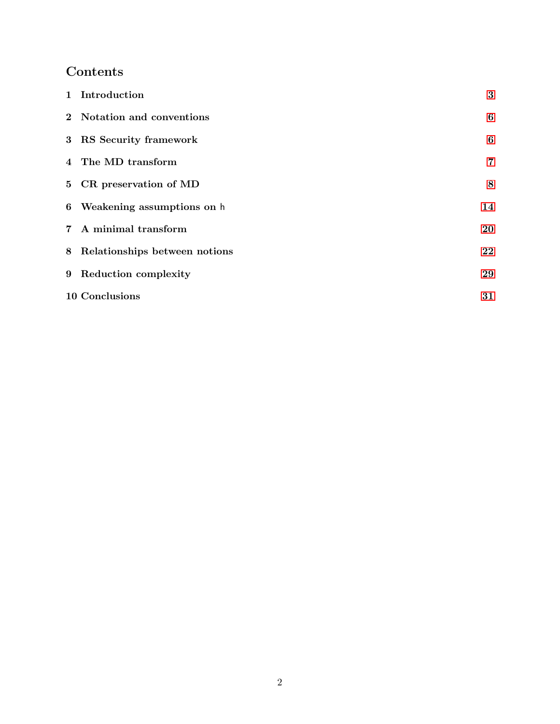## Contents

| 1 Introduction                  | $\bf{3}$ |
|---------------------------------|----------|
| 2 Notation and conventions      | 6        |
| 3 RS Security framework         | 6        |
| 4 The MD transform              | 7        |
| 5 CR preservation of MD         | 8        |
| 6 Weakening assumptions on h    | 14       |
| 7 A minimal transform           | 20       |
| 8 Relationships between notions | 22       |
| 9 Reduction complexity          | 29       |
| 10 Conclusions                  | 31       |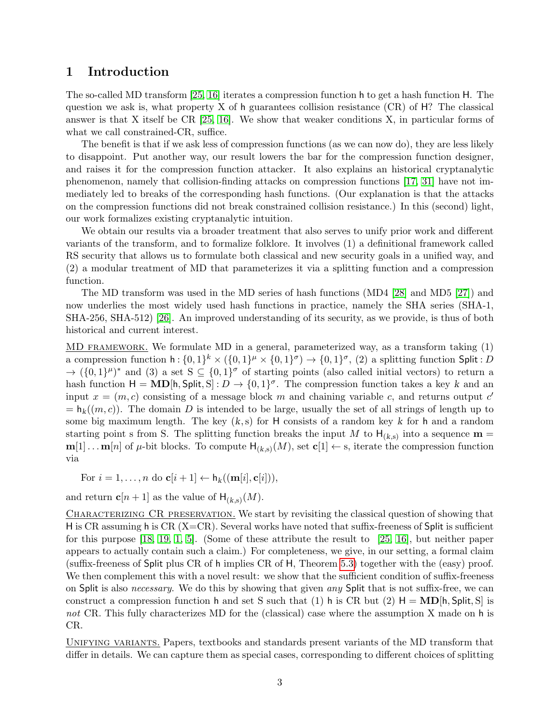#### <span id="page-2-1"></span><span id="page-2-0"></span>1 Introduction

The so-called MD transform [\[25,](#page-32-0) [16\]](#page-31-0) iterates a compression function h to get a hash function H. The question we ask is, what property X of h guarantees collision resistance  $(CR)$  of H? The classical answer is that X itself be  $CR$  [\[25,](#page-32-0) [16\]](#page-31-0). We show that weaker conditions X, in particular forms of what we call constrained-CR, suffice.

The benefit is that if we ask less of compression functions (as we can now do), they are less likely to disappoint. Put another way, our result lowers the bar for the compression function designer, and raises it for the compression function attacker. It also explains an historical cryptanalytic phenomenon, namely that collision-finding attacks on compression functions [\[17,](#page-31-1) [31\]](#page-32-1) have not immediately led to breaks of the corresponding hash functions. (Our explanation is that the attacks on the compression functions did not break constrained collision resistance.) In this (second) light, our work formalizes existing cryptanalytic intuition.

We obtain our results via a broader treatment that also serves to unify prior work and different variants of the transform, and to formalize folklore. It involves (1) a definitional framework called RS security that allows us to formulate both classical and new security goals in a unified way, and (2) a modular treatment of MD that parameterizes it via a splitting function and a compression function.

The MD transform was used in the MD series of hash functions (MD4 [\[28\]](#page-32-2) and MD5 [\[27\]](#page-32-3)) and now underlies the most widely used hash functions in practice, namely the SHA series (SHA-1, SHA-256, SHA-512) [\[26\]](#page-32-4). An improved understanding of its security, as we provide, is thus of both historical and current interest.

MD framework. We formulate MD in a general, parameterized way, as a transform taking (1) a compression function  $h: \{0,1\}^k \times (\{0,1\}^{\mu} \times \{0,1\}^{\sigma}) \to \{0,1\}^{\sigma}$ , (2) a splitting function Split: D  $\rightarrow (\{0,1\}^{\mu})^*$  and (3) a set  $S \subseteq \{0,1\}^{\sigma}$  of starting points (also called initial vectors) to return a hash function  $H = MD[h, Split, S] : D \to \{0, 1\}^{\sigma}$ . The compression function takes a key k and an input  $x = (m, c)$  consisting of a message block m and chaining variable c, and returns output c'  $= h_k((m, c))$ . The domain D is intended to be large, usually the set of all strings of length up to some big maximum length. The key  $(k, s)$  for H consists of a random key k for h and a random starting point s from S. The splitting function breaks the input M to  $H_{(k,s)}$  into a sequence  $\mathbf{m} =$  $m[1] \dots m[n]$  of  $\mu$ -bit blocks. To compute  $H_{(k,s)}(M)$ , set  $c[1] \leftarrow s$ , iterate the compression function via

For  $i = 1, \ldots, n$  do  $\mathbf{c}[i+1] \leftarrow h_k((\mathbf{m}[i], \mathbf{c}[i])),$ 

and return  $\mathbf{c}[n+1]$  as the value of  $\mathsf{H}_{(k,s)}(M)$ .

CHARACTERIZING CR PRESERVATION. We start by revisiting the classical question of showing that H is CR assuming h is CR  $(X=CR)$ . Several works have noted that suffix-freeness of Split is sufficient for this purpose [\[18,](#page-32-5) [19,](#page-32-6) [1,](#page-31-2) [5\]](#page-31-3). (Some of these attribute the result to [\[25,](#page-32-0) [16\]](#page-31-0), but neither paper appears to actually contain such a claim.) For completeness, we give, in our setting, a formal claim (suffix-freeness of Split plus CR of h implies CR of H, Theorem [5.3\)](#page-9-0) together with the (easy) proof. We then complement this with a novel result: we show that the sufficient condition of suffix-freeness on Split is also *necessary*. We do this by showing that given *any* Split that is not suffix-free, we can construct a compression function h and set S such that (1) h is CR but (2)  $H = MD[h, Split, S]$  is not CR. This fully characterizes MD for the (classical) case where the assumption X made on h is CR.

Unifying variants. Papers, textbooks and standards present variants of the MD transform that differ in details. We can capture them as special cases, corresponding to different choices of splitting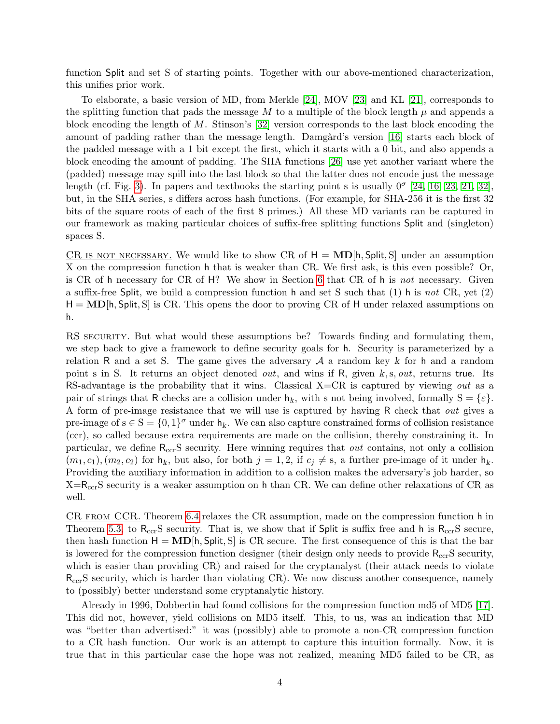<span id="page-3-0"></span>function Split and set S of starting points. Together with our above-mentioned characterization, this unifies prior work.

To elaborate, a basic version of MD, from Merkle [\[24\]](#page-32-7), MOV [\[23\]](#page-32-8) and KL [\[21\]](#page-32-9), corresponds to the splitting function that pads the message M to a multiple of the block length  $\mu$  and appends a block encoding the length of M. Stinson's [\[32\]](#page-32-10) version corresponds to the last block encoding the amount of padding rather than the message length. Damgård's version [\[16\]](#page-31-0) starts each block of the padded message with a 1 bit except the first, which it starts with a 0 bit, and also appends a block encoding the amount of padding. The SHA functions [\[26\]](#page-32-4) use yet another variant where the (padded) message may spill into the last block so that the latter does not encode just the message length (cf. Fig. [3\)](#page-8-0). In papers and textbooks the starting point s is usually  $0^{\sigma}$  [\[24,](#page-32-7) [16,](#page-31-0) [23,](#page-32-8) [21,](#page-32-9) [32\]](#page-32-10), but, in the SHA series, s differs across hash functions. (For example, for SHA-256 it is the first 32 bits of the square roots of each of the first 8 primes.) All these MD variants can be captured in our framework as making particular choices of suffix-free splitting functions Split and (singleton) spaces S.

CR IS NOT NECESSARY. We would like to show CR of  $H = MD[h, Split, S]$  under an assumption X on the compression function h that is weaker than CR. We first ask, is this even possible? Or, is CR of h necessary for CR of H? We show in Section [6](#page-13-0) that CR of h is not necessary. Given a suffix-free Split, we build a compression function h and set S such that  $(1)$  h is not CR, yet  $(2)$  $H = MD[h, Split, S]$  is CR. This opens the door to proving CR of H under relaxed assumptions on h.

RS SECURITY. But what would these assumptions be? Towards finding and formulating them, we step back to give a framework to define security goals for h. Security is parameterized by a relation R and a set S. The game gives the adversary  $A$  a random key k for h and a random point s in S. It returns an object denoted *out*, and wins if R, given k, s, *out*, returns true. Its RS-advantage is the probability that it wins. Classical X=CR is captured by viewing *out* as a pair of strings that R checks are a collision under  $h_k$ , with s not being involved, formally  $S = \{\varepsilon\}.$ A form of pre-image resistance that we will use is captured by having R check that *out* gives a pre-image of  $s \in S = \{0,1\}^{\sigma}$  under  $h_k$ . We can also capture constrained forms of collision resistance (ccr), so called because extra requirements are made on the collision, thereby constraining it. In particular, we define R<sub>ccr</sub>S security. Here winning requires that *out* contains, not only a collision  $(m_1, c_1), (m_2, c_2)$  for  $h_k$ , but also, for both  $j = 1, 2$ , if  $c_j \neq s$ , a further pre-image of it under  $h_k$ . Providing the auxiliary information in addition to a collision makes the adversary's job harder, so  $X=R_{\text{ccr}}S$  security is a weaker assumption on h than CR. We can define other relaxations of CR as well.

CR from CCR. Theorem [6.4](#page-16-0) relaxes the CR assumption, made on the compression function h in Theorem [5.3,](#page-9-0) to  $R_{\text{ccr}}S$  security. That is, we show that if Split is suffix free and h is  $R_{\text{ccr}}S$  secure, then hash function  $H = MD[h, Split, S]$  is CR secure. The first consequence of this is that the bar is lowered for the compression function designer (their design only needs to provide  $R_{\rm ccr}S$  security, which is easier than providing CR) and raised for the cryptanalyst (their attack needs to violate  $R_{cc}S$  security, which is harder than violating CR). We now discuss another consequence, namely to (possibly) better understand some cryptanalytic history.

Already in 1996, Dobbertin had found collisions for the compression function md5 of MD5 [\[17\]](#page-31-1). This did not, however, yield collisions on MD5 itself. This, to us, was an indication that MD was "better than advertised:" it was (possibly) able to promote a non-CR compression function to a CR hash function. Our work is an attempt to capture this intuition formally. Now, it is true that in this particular case the hope was not realized, meaning MD5 failed to be CR, as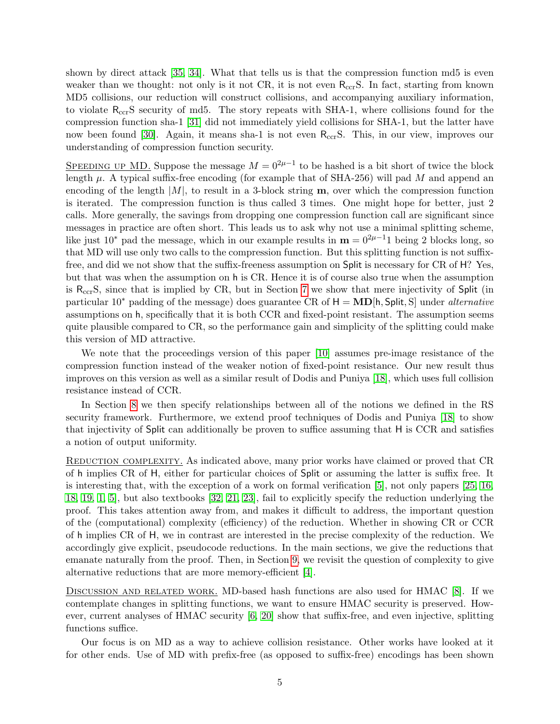<span id="page-4-0"></span>shown by direct attack [\[35,](#page-32-11) [34\]](#page-32-12). What that tells us is that the compression function md5 is even weaker than we thought: not only is it not CR, it is not even  $R_{\rm ccr}$ S. In fact, starting from known MD5 collisions, our reduction will construct collisions, and accompanying auxiliary information, to violate RccrS security of md5. The story repeats with SHA-1, where collisions found for the compression function sha-1 [\[31\]](#page-32-1) did not immediately yield collisions for SHA-1, but the latter have now been found [\[30\]](#page-32-13). Again, it means sha-1 is not even R<sub>ccr</sub>S. This, in our view, improves our understanding of compression function security.

SPEEDING UP MD. Suppose the message  $M = 0^{2\mu-1}$  to be hashed is a bit short of twice the block length  $\mu$ . A typical suffix-free encoding (for example that of SHA-256) will pad M and append an encoding of the length  $|M|$ , to result in a 3-block string  $m$ , over which the compression function is iterated. The compression function is thus called 3 times. One might hope for better, just 2 calls. More generally, the savings from dropping one compression function call are significant since messages in practice are often short. This leads us to ask why not use a minimal splitting scheme, like just 10<sup>\*</sup> pad the message, which in our example results in  $\mathbf{m} = 0^{2\mu-1}1$  being 2 blocks long, so that MD will use only two calls to the compression function. But this splitting function is not suffixfree, and did we not show that the suffix-freeness assumption on Split is necessary for CR of H? Yes, but that was when the assumption on h is CR. Hence it is of course also true when the assumption is RccrS, since that is implied by CR, but in Section [7](#page-19-0) we show that mere injectivity of Split (in particular  $10^*$  padding of the message) does guarantee CR of  $H = \text{MD}[\text{h}, \text{Split}, S]$  under *alternative* assumptions on h, specifically that it is both CCR and fixed-point resistant. The assumption seems quite plausible compared to CR, so the performance gain and simplicity of the splitting could make this version of MD attractive.

We note that the proceedings version of this paper [\[10\]](#page-31-4) assumes pre-image resistance of the compression function instead of the weaker notion of fixed-point resistance. Our new result thus improves on this version as well as a similar result of Dodis and Puniya [\[18\]](#page-32-5), which uses full collision resistance instead of CCR.

In Section [8](#page-21-0) we then specify relationships between all of the notions we defined in the RS security framework. Furthermore, we extend proof techniques of Dodis and Puniya [\[18\]](#page-32-5) to show that injectivity of Split can additionally be proven to suffice assuming that H is CCR and satisfies a notion of output uniformity.

REDUCTION COMPLEXITY. As indicated above, many prior works have claimed or proved that CR of h implies CR of H, either for particular choices of Split or assuming the latter is suffix free. It is interesting that, with the exception of a work on formal verification [\[5\]](#page-31-3), not only papers [\[25,](#page-32-0) [16,](#page-31-0) [18,](#page-32-5) [19,](#page-32-6) [1,](#page-31-2) [5\]](#page-31-3), but also textbooks [\[32,](#page-32-10) [21,](#page-32-9) [23\]](#page-32-8), fail to explicitly specify the reduction underlying the proof. This takes attention away from, and makes it difficult to address, the important question of the (computational) complexity (efficiency) of the reduction. Whether in showing CR or CCR of h implies CR of H, we in contrast are interested in the precise complexity of the reduction. We accordingly give explicit, pseudocode reductions. In the main sections, we give the reductions that emanate naturally from the proof. Then, in Section [9,](#page-28-0) we revisit the question of complexity to give alternative reductions that are more memory-efficient [\[4\]](#page-31-5).

DISCUSSION AND RELATED WORK. MD-based hash functions are also used for HMAC [\[8\]](#page-31-6). If we contemplate changes in splitting functions, we want to ensure HMAC security is preserved. However, current analyses of HMAC security [\[6,](#page-31-7) [20\]](#page-32-14) show that suffix-free, and even injective, splitting functions suffice.

Our focus is on MD as a way to achieve collision resistance. Other works have looked at it for other ends. Use of MD with prefix-free (as opposed to suffix-free) encodings has been shown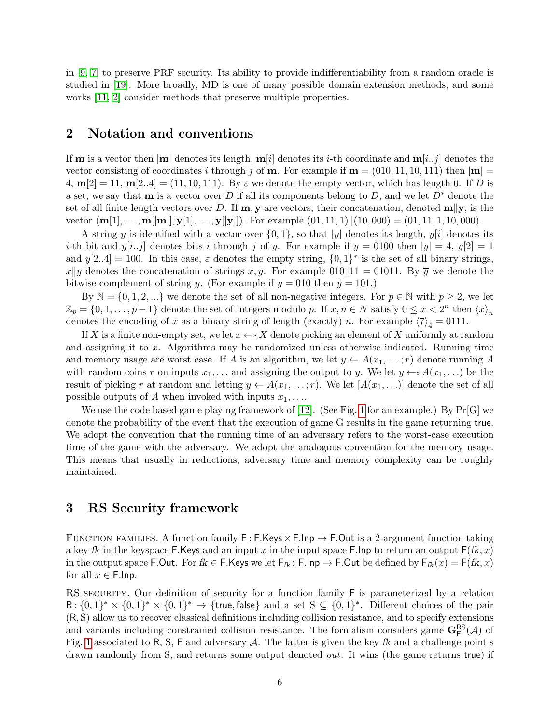<span id="page-5-2"></span>in [\[9,](#page-31-8) [7\]](#page-31-9) to preserve PRF security. Its ability to provide indifferentiability from a random oracle is studied in [\[19\]](#page-32-6). More broadly, MD is one of many possible domain extension methods, and some works [\[11,](#page-31-10) [2\]](#page-31-11) consider methods that preserve multiple properties.

#### <span id="page-5-0"></span>2 Notation and conventions

If **m** is a vector then  $|\mathbf{m}|$  denotes its length,  $\mathbf{m}[i]$  denotes its *i*-th coordinate and  $\mathbf{m}[i..j]$  denotes the vector consisting of coordinates i through j of **m**. For example if  $\mathbf{m} = (010, 11, 10, 111)$  then  $|\mathbf{m}| =$ 4,  $m[2] = 11$ ,  $m[2..4] = (11, 10, 111)$ . By  $\varepsilon$  we denote the empty vector, which has length 0. If D is a set, we say that **m** is a vector over D if all its components belong to D, and we let  $D^*$  denote the set of all finite-length vectors over D. If  $\mathbf{m}, \mathbf{y}$  are vectors, their concatenation, denoted  $\mathbf{m} \Vert \mathbf{y}$ , is the vector  $(\mathbf{m}[1], \ldots, \mathbf{m}[[\mathbf{m}]], \mathbf{y}[1], \ldots, \mathbf{y}[[\mathbf{y}]])$ . For example  $(01, 11, 1)||(10, 000) = (01, 11, 1, 10, 000)$ .

A string y is identified with a vector over  $\{0, 1\}$ , so that |y| denotes its length,  $y[i]$  denotes its *i*-th bit and  $y[i..j]$  denotes bits i through j of y. For example if  $y = 0100$  then  $|y| = 4$ ,  $y[2] = 1$ and  $y[2..4] = 100$ . In this case,  $\varepsilon$  denotes the empty string,  $\{0,1\}^*$  is the set of all binary strings,  $x\|y$  denotes the concatenation of strings x, y. For example 010 11 = 01011. By  $\overline{y}$  we denote the bitwise complement of string y. (For example if  $y = 010$  then  $\overline{y} = 101$ .)

By  $\mathbb{N} = \{0, 1, 2, ...\}$  we denote the set of all non-negative integers. For  $p \in \mathbb{N}$  with  $p \geq 2$ , we let  $\mathbb{Z}_p = \{0, 1, \ldots, p-1\}$  denote the set of integers modulo p. If  $x, n \in N$  satisfy  $0 \le x < 2^n$  then  $\langle x \rangle_n$ denotes the encoding of x as a binary string of length (exactly) n. For example  $\langle 7 \rangle_4 = 0111$ .

If X is a finite non-empty set, we let  $x \leftarrow^* X$  denote picking an element of X uniformly at random and assigning it to x. Algorithms may be randomized unless otherwise indicated. Running time and memory usage are worst case. If A is an algorithm, we let  $y \leftarrow A(x_1, \ldots, r)$  denote running A with random coins r on inputs  $x_1, \ldots$  and assigning the output to y. We let  $y \leftarrow^* A(x_1, \ldots)$  be the result of picking r at random and letting  $y \leftarrow A(x_1, \ldots; r)$ . We let  $[A(x_1, \ldots)]$  denote the set of all possible outputs of A when invoked with inputs  $x_1, \ldots$ 

We use the code based game playing framework of [\[12\]](#page-31-12). (See Fig. [1](#page-6-1) for an example.) By  $Pr[G]$  we denote the probability of the event that the execution of game G results in the game returning true. We adopt the convention that the running time of an adversary refers to the worst-case execution time of the game with the adversary. We adopt the analogous convention for the memory usage. This means that usually in reductions, adversary time and memory complexity can be roughly maintained.

#### <span id="page-5-1"></span>3 RS Security framework

FUNCTION FAMILIES. A function family  $F : F.K$ eys  $\times$  F. lnp  $\rightarrow$  F. Out is a 2-argument function taking a key fk in the keyspace F.Keys and an input x in the input space F.Inp to return an output  $F(fk, x)$ in the output space F.Out. For  $fk \in F.K$ eys we let  $F_{fk}$ : F.Inp  $\to F.O$ ut be defined by  $F_{fk}(x) = F(fk, x)$ for all  $x \in$  F.lnp.

RS SECURITY. Our definition of security for a function family F is parameterized by a relation  $R: \{0,1\}^* \times \{0,1\}^* \times \{0,1\}^* \rightarrow \{\text{true},\text{false}\}\$ and a set  $S \subseteq \{0,1\}^*$ . Different choices of the pair (R, S) allow us to recover classical definitions including collision resistance, and to specify extensions and variants including constrained collision resistance. The formalism considers game  $\mathbf{G}_{\mathsf{F}}^{\mathsf{RS}}(\mathcal{A})$  of Fig. [1](#page-6-1) associated to R, S, F and adversary A. The latter is given the key fk and a challenge point s drawn randomly from S, and returns some output denoted out. It wins (the game returns true) if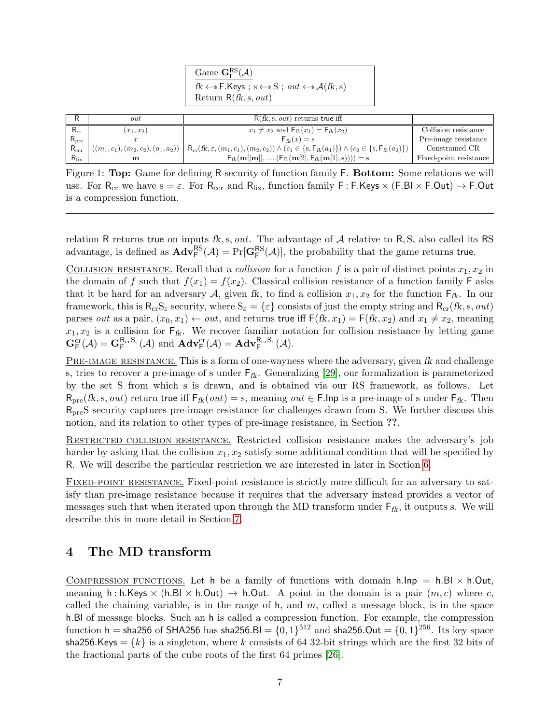| Game $\mathbf{G}_{\mathsf{F}}^{\mathsf{RS}}(\mathcal{A})$                                                          |  |
|--------------------------------------------------------------------------------------------------------------------|--|
| $f k \leftarrow s \mathsf{F}.\mathsf{Keys}$ ; $s \leftarrow s \mathsf{S}$ ; $out \leftarrow s \mathcal{A}(f k, s)$ |  |
| Return $R(fk, s, out)$                                                                                             |  |
|                                                                                                                    |  |

<span id="page-6-2"></span>

|               | out          | $R(fk, s, out)$ returns true iff                                                                                                                                                               |                        |
|---------------|--------------|------------------------------------------------------------------------------------------------------------------------------------------------------------------------------------------------|------------------------|
| $R_{cr}$      | $(x_1, x_2)$ | $x_1 \neq x_2$ and $F_{fk}(x_1) = F_{fk}(x_2)$                                                                                                                                                 | Collision resistance   |
| $R_{pre}$     |              | $F_{fk}(x) = s$                                                                                                                                                                                | Pre-image resistance   |
| $R_{\rm ccr}$ |              | $((m_1, c_1), (m_2, c_2), (a_1, a_2)) \mid \mathsf{R}_{cr}(fk, \varepsilon, (m_1, c_1), (m_2, c_2)) \wedge (c_1 \in \{s, \mathsf{F}_{fk}(a_1)\}) \wedge (c_2 \in \{s, \mathsf{F}_{fk}(a_2)\})$ | Constrained CR         |
| $R_{\rm fix}$ | m            | $F_{ik}(\mathbf{m}[[\mathbf{m}]], \dots (F_{ik}(\mathbf{m}[2], F_{ik}(\mathbf{m}[1], s)))) = s$                                                                                                | Fixed-point resistance |

<span id="page-6-1"></span>Figure 1: Top: Game for defining R-security of function family F. Bottom: Some relations we will use. For R<sub>cr</sub> we have  $s = \varepsilon$ . For R<sub>ccr</sub> and R<sub>fix</sub>, function family F: F.Keys  $\times$  (F.Bl  $\times$  F.Out)  $\rightarrow$  F.Out is a compression function.

relation R returns true on inputs fk, s, out. The advantage of  $A$  relative to R, S, also called its RS advantage, is defined as  $\mathbf{Adv}_{\mathsf{F}}^{\mathsf{RS}}(\mathcal{A}) = \Pr[\mathbf{G}_{\mathsf{F}}^{\mathsf{RS}}(\mathcal{A})]$ , the probability that the game returns true.

COLLISION RESISTANCE. Recall that a *collision* for a function f is a pair of distinct points  $x_1, x_2$  in the domain of f such that  $f(x_1) = f(x_2)$ . Classical collision resistance of a function family F asks that it be hard for an adversary A, given fk, to find a collision  $x_1, x_2$  for the function  $F_{fk}$ . In our framework, this is  $R_{cr}S_{\varepsilon}$  security, where  $S_{\varepsilon} = \{\varepsilon\}$  consists of just the empty string and  $R_{cr}(fk, s, out)$ parses out as a pair,  $(x_0, x_1) \leftarrow out$ , and returns true iff  $F(fk, x_1) = F(fk, x_2)$  and  $x_1 \neq x_2$ , meaning  $x_1, x_2$  is a collision for  $\mathsf{F}_{\mathsf{fk}}$ . We recover familiar notation for collision resistance by letting game  $\mathbf{G}_{\mathsf{F}}^{\text{cr}}(\mathcal{A}) = \mathbf{G}_{\mathsf{F}}^{\mathsf{R}_{\text{cr}}\mathsf{S}_{\varepsilon}}(\mathcal{A}) \text{ and } \mathbf{Adv}_{\mathsf{F}}^{\text{cr}}(\mathcal{A}) = \mathbf{Adv}_{\mathsf{F}}^{\mathsf{R}_{\text{cr}}\mathsf{S}_{\varepsilon}}(\mathcal{A}).$ 

PRE-IMAGE RESISTANCE. This is a form of one-wayness where the adversary, given fk and challenge s, tries to recover a pre-image of s under  $F_{fk}$ . Generalizing [\[29\]](#page-32-15), our formalization is parameterized by the set S from which s is drawn, and is obtained via our RS framework, as follows. Let  $R_{\text{pre}}(fk, s, out)$  return true iff  $F_{fk}(out) = s$ , meaning  $out \in F.lnp$  is a pre-image of s under  $F_{fk}$ . Then RpreS security captures pre-image resistance for challenges drawn from S. We further discuss this notion, and its relation to other types of pre-image resistance, in Section ??.

Restricted collision resistance. Restricted collision resistance makes the adversary's job harder by asking that the collision  $x_1, x_2$  satisfy some additional condition that will be specified by R. We will describe the particular restriction we are interested in later in Section [6.](#page-13-0)

FIXED-POINT RESISTANCE. Fixed-point resistance is strictly more difficult for an adversary to satisfy than pre-image resistance because it requires that the adversary instead provides a vector of messages such that when iterated upon through the MD transform under  $F_{fk}$ , it outputs s. We will describe this in more detail in Section [7.](#page-19-0)

#### <span id="page-6-0"></span>4 The MD transform

COMPRESSION FUNCTIONS. Let h be a family of functions with domain h.lnp = h.Bl  $\times$  h.Out, meaning h : h.Keys  $\times$  (h.Bl  $\times$  h.Out)  $\rightarrow$  h.Out. A point in the domain is a pair  $(m, c)$  where c, called the chaining variable, is in the range of  $h$ , and  $m$ , called a message block, is in the space h.Bl of message blocks. Such an h is called a compression function. For example, the compression function <code>h</code> = sha256 of <code>SHA256</code> has sha256.Bl =  $\{0,1\}^{512}$  and <code>sha256.Out</code> =  $\{0,1\}^{256}.$  Its key space sha256.Keys =  $\{k\}$  is a singleton, where k consists of 64 32-bit strings which are the first 32 bits of the fractional parts of the cube roots of the first 64 primes [\[26\]](#page-32-4).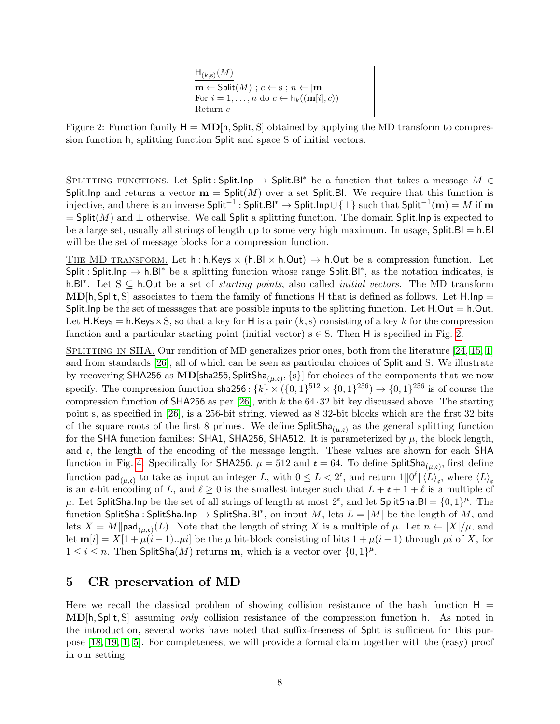$H_{(k,s)}(M)$  $\overline{\mathbf{m} \leftarrow \mathsf{Split}(M)$ ;  $c \leftarrow s$ ;  $n \leftarrow |\mathbf{m}|$ For  $i = 1, \ldots, n$  do  $c \leftarrow h_k((\mathbf{m}[i], c))$ Return c

<span id="page-7-2"></span><span id="page-7-1"></span>Figure 2: Function family  $H = \text{MD}[h, \text{Split}, S]$  obtained by applying the MD transform to compression function h, splitting function Split and space S of initial vectors.

SPLITTING FUNCTIONS. Let Split: Split.Inp  $\rightarrow$  Split.Bl<sup>\*</sup> be a function that takes a message M  $\in$ Split. Inp and returns a vector  $\mathbf{m} = \mathsf{Split}(M)$  over a set Split. Bl. We require that this function is injective, and there is an inverse <code>Split−1</code> : <code>Split.Bl\* → Split.Inp∪{ $\perp$ } such that <code>Split $^{-1}(\mathbf{m})=M$  if  $\mathbf{m}$ </code></code>  $=$  Split(M) and  $\perp$  otherwise. We call Split a splitting function. The domain Split. Inp is expected to be a large set, usually all strings of length up to some very high maximum. In usage,  $Split.B = h.B$ will be the set of message blocks for a compression function.

THE MD TRANSFORM. Let h: h.Keys  $\times$  (h.Bl  $\times$  h.Out)  $\rightarrow$  h.Out be a compression function. Let Split : Split.Inp  $\rightarrow$  h.Bl<sup>\*</sup> be a splitting function whose range Split.Bl<sup>\*</sup>, as the notation indicates, is h.Bl<sup>\*</sup>. Let S ⊆ h.Out be a set of *starting points*, also called *initial vectors*. The MD transform  $MD[h, Split, S]$  associates to them the family of functions H that is defined as follows. Let H.Inp = Split. Inp be the set of messages that are possible inputs to the splitting function. Let  $H.Out = h.Out$ . Let H.Keys = h.Keys  $\times$  S, so that a key for H is a pair  $(k, s)$  consisting of a key k for the compression function and a particular starting point (initial vector)  $s \in S$ . Then H is specified in Fig. [2.](#page-7-1)

SPLITTING IN SHA. Our rendition of MD generalizes prior ones, both from the literature [\[24,](#page-32-7) [15,](#page-31-13) [1\]](#page-31-2) and from standards [\[26\]](#page-32-4), all of which can be seen as particular choices of Split and S. We illustrate by recovering SHA256 as  $\text{MD}[\text{sha256}, \text{SplitSha}_{(\mu, \mathfrak{e})}, \{s\}]$  for choices of the components that we now specify. The compression function sha256 :  $\{k\} \times (\{0,1\}^{512} \times \{0,1\}^{256}) \to \{0,1\}^{256}$  is of course the compression function of SHA256 as per [\[26\]](#page-32-4), with k the  $64.32$  bit key discussed above. The starting point s, as specified in [\[26\]](#page-32-4), is a 256-bit string, viewed as 8 32-bit blocks which are the first 32 bits of the square roots of the first 8 primes. We define  $\text{SplitSha}_{(\mu,\mathfrak{e})}$  as the general splitting function for the SHA function families: SHA1, SHA256, SHA512. It is parameterized by  $\mu$ , the block length, and  $\epsilon$ , the length of the encoding of the message length. These values are shown for each SHA function in Fig. [4.](#page-8-1) Specifically for SHA256,  $\mu = 512$  and  $\mathfrak{e} = 64$ . To define SplitSha<sub>( $\mu$ , $\mathfrak{e}$ ), first define</sub> function  $\textsf{pad}_{(\mu,\varepsilon)}$  to take as input an integer L, with  $0 \leq L < 2^{\varepsilon}$ , and return  $1||0^{\ell}||\langle L \rangle_{\varepsilon}$ , where  $\langle L \rangle_{\varepsilon}$ is an e-bit encoding of L, and  $\ell \geq 0$  is the smallest integer such that  $L + \epsilon + 1 + \ell$  is a multiple of  $\mu$ . Let SplitSha.Inp be the set of all strings of length at most  $2^{\epsilon}$ , and let SplitSha.Bl =  $\{0,1\}^{\mu}$ . The function SplitSha: SplitSha.Inp  $\rightarrow$  SplitSha.Bl\*, on input M, lets  $L = |M|$  be the length of M, and lets  $X = M||\text{pad}_{(\mu,\varepsilon)}(L)$ . Note that the length of string X is a multiple of  $\mu$ . Let  $n \leftarrow |X|/\mu$ , and let  $m[i] = X[1 + \mu(i-1)... \mu i]$  be the  $\mu$  bit-block consisting of bits  $1 + \mu(i-1)$  through  $\mu i$  of X, for  $1 \leq i \leq n$ . Then SplitSha $(M)$  returns **m**, which is a vector over  $\{0,1\}^{\mu}$ .

#### <span id="page-7-0"></span>5 CR preservation of MD

Here we recall the classical problem of showing collision resistance of the hash function  $H =$ MD[h, Split, S] assuming only collision resistance of the compression function h. As noted in the introduction, several works have noted that suffix-freeness of Split is sufficient for this purpose [\[18,](#page-32-5) [19,](#page-32-6) [1,](#page-31-2) [5\]](#page-31-3). For completeness, we will provide a formal claim together with the (easy) proof in our setting.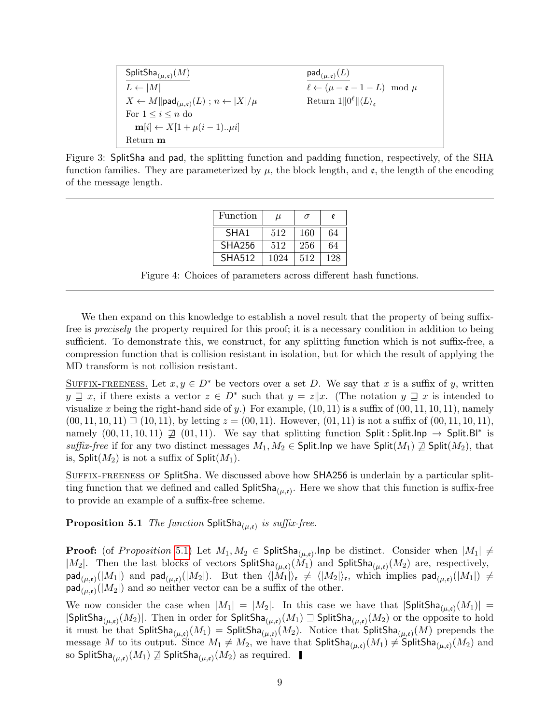| $\mathsf{SplitSha}_{(\mu,\mathfrak{e})}(M)$                                   | $\mathsf{pad}_{(\mu,\mathfrak{e})}(L)$                  |
|-------------------------------------------------------------------------------|---------------------------------------------------------|
| $L \leftarrow  M $                                                            | $\ell \leftarrow (\mu - \mathfrak{e} - 1 - L) \mod \mu$ |
| $X \leftarrow M \ \textsf{pad}_{(\mu,\varepsilon)}(L) : n \leftarrow  X /\mu$ | Return $1  0^{\ell}  \langle L \rangle_e$               |
| For $1 \leq i \leq n$ do                                                      |                                                         |
| $\mathbf{m}[i] \leftarrow X[1 + \mu(i-1) \ldots \mu i]$                       |                                                         |
| Return m                                                                      |                                                         |

<span id="page-8-0"></span>Figure 3: SplitSha and pad, the splitting function and padding function, respectively, of the SHA function families. They are parameterized by  $\mu$ , the block length, and  $\mathfrak{e}$ , the length of the encoding of the message length.

| Function         | $\mu$ | $\sigma$ | e   |
|------------------|-------|----------|-----|
| SHA <sub>1</sub> | 512   | 160      | 64  |
| <b>SHA256</b>    | 512   | 256      | 64  |
| <b>SHA512</b>    | 1024  | 512      | 128 |

<span id="page-8-1"></span>Figure 4: Choices of parameters across different hash functions.

We then expand on this knowledge to establish a novel result that the property of being suffixfree is precisely the property required for this proof; it is a necessary condition in addition to being sufficient. To demonstrate this, we construct, for any splitting function which is not suffix-free, a compression function that is collision resistant in isolation, but for which the result of applying the MD transform is not collision resistant.

SUFFIX-FREENESS. Let  $x, y \in D^*$  be vectors over a set D. We say that x is a suffix of y, written  $y \supseteq x$ , if there exists a vector  $z \in D^*$  such that  $y = z|x$ . (The notation  $y \supseteq x$  is intended to visualize x being the right-hand side of y.) For example,  $(10, 11)$  is a suffix of  $(00, 11, 10, 11)$ , namely  $(00, 11, 10, 11) \sqsupseteq (10, 11)$ , by letting  $z = (00, 11)$ . However,  $(01, 11)$  is not a suffix of  $(00, 11, 10, 11)$ , namely  $(00, 11, 10, 11) \not\supseteq (01, 11)$ . We say that splitting function Split: Split. Inp  $\rightarrow$  Split. Bl<sup>\*</sup> is suffix-free if for any two distinct messages  $M_1, M_2 \in$  Split. Inp we have Split $(M_1) \not\supseteq$  Split $(M_2)$ , that is, Split $(M_2)$  is not a suffix of Split $(M_1)$ .

<span id="page-8-2"></span>Suffix-freeness of SplitSha. We discussed above how SHA256 is underlain by a particular splitting function that we defined and called  $\mathsf{SplitSha}_{(\mu,\mathfrak{e})}$ . Here we show that this function is suffix-free to provide an example of a suffix-free scheme.

**Proposition 5.1** The function  $\textsf{SplitSha}_{(\mu,\mathfrak{e})}$  is suffix-free.

**Proof:** (of *Proposition* 5.[1\)](#page-8-2) Let  $M_1, M_2 \in \mathsf{SplitSha}_{(\mu,\mathfrak{e})}$ . Inp be distinct. Consider when  $|M_1| \neq$  $|M_2|$ . Then the last blocks of vectors  $\text{SplitSha}_{(\mu,\mathfrak{e})}(M_1)$  and  $\text{SplitSha}_{(\mu,\mathfrak{e})}(M_2)$  are, respectively,  $\mathsf{pad}_{(\mu,\mathfrak{e})}(|M_1|)$  and  $\mathsf{pad}_{(\mu,\mathfrak{e})}(|M_2|)$ . But then  $\langle |M_1|\rangle_{\mathfrak{e}}\neq \langle |M_2|\rangle_{\mathfrak{e}},$  which implies  $\mathsf{pad}_{(\mu,\mathfrak{e})}(|M_1|\rangle\neq 0$  $\mathsf{pad}_{(\mu,\mathfrak{e})}(|M_2|)$  and so neither vector can be a suffix of the other.

We now consider the case when  $|M_1| = |M_2|$ . In this case we have that  $|\textsf{SplitSha}_{(\mu,\mathfrak{e})}(M_1)| =$  $|\mathsf{SplitSha}_{(\mu,\mathfrak{e})}(M_2)|$ . Then in order for  $\mathsf{SplitSha}_{(\mu,\mathfrak{e})}(M_1) \sqsupseteq \mathsf{SplitSha}_{(\mu,\mathfrak{e})}(M_2)$  or the opposite to hold it must be that  $\mathsf{SplitSha}_{(\mu,\mathfrak{e})}(M_1) = \mathsf{SplitSha}_{(\mu,\mathfrak{e})}(M_2).$  Notice that  $\mathsf{SplitSha}_{(\mu,\mathfrak{e})}(M)$  prepends the message M to its output. Since  $M_1 \neq M_2$ , we have that  $\mathsf{SplitSha}_{(\mu,\mathfrak{e})}(M_1) \neq \mathsf{SplitSha}_{(\mu,\mathfrak{e})}(M_2)$  and so SplitSha $_{(\mu,\mathfrak{e})}(M_1)\not\supseteq \mathsf{SplitSha}_{(\mu,\mathfrak{e})}(M_2)$  as required.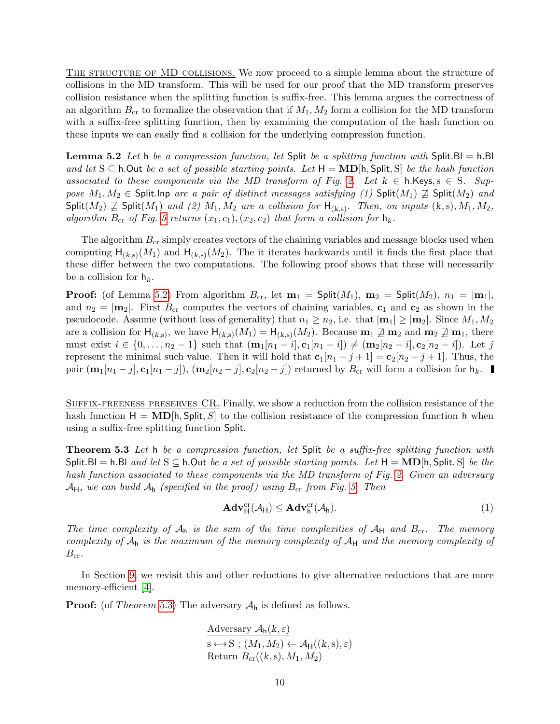<span id="page-9-3"></span>THE STRUCTURE OF MD COLLISIONS. We now proceed to a simple lemma about the structure of collisions in the MD transform. This will be used for our proof that the MD transform preserves collision resistance when the splitting function is suffix-free. This lemma argues the correctness of an algorithm  $B_{\rm cr}$  to formalize the observation that if  $M_1, M_2$  form a collision for the MD transform with a suffix-free splitting function, then by examining the computation of the hash function on these inputs we can easily find a collision for the underlying compression function.

<span id="page-9-1"></span>**Lemma 5.2** Let h be a compression function, let Split be a splitting function with Split. Bl = h.Bl and let  $S \subseteq h$ . Out be a set of possible starting points. Let  $H = MD[h, Split, S]$  be the hash function associated to these components via the MD transform of Fig. [2.](#page-7-1) Let  $k \in h$ . Keys,  $s \in S$ . Suppose  $M_1, M_2 \in$  Split.Inp are a pair of distinct messages satisfying (1) Split( $M_1$ )  $\supseteq$  Split( $M_2$ ) and Split( $M_2$ )  $\not\supseteq$  Split( $M_1$ ) and (2)  $M_1, M_2$  are a collision for  $H_{(k,s)}$ . Then, on inputs  $(k,s), M_1, M_2$ , algorithm  $B_{cr}$  of Fig. [5](#page-10-0) returns  $(x_1, c_1), (x_2, c_2)$  that form a collision for  $h_k$ .

The algorithm  $B_{cr}$  simply creates vectors of the chaining variables and message blocks used when computing  $H_{(k,s)}(M_1)$  and  $H_{(k,s)}(M_2)$ . The it iterates backwards until it finds the first place that these differ between the two computations. The following proof shows that these will necessarily be a collision for  $h_k$ .

**Proof:** (of Lemma [5.2\)](#page-9-1) From algorithm  $B_{cr}$ , let  $m_1 = \text{Split}(M_1)$ ,  $m_2 = \text{Split}(M_2)$ ,  $n_1 = |m_1|$ , and  $n_2 = |m_2|$ . First  $B_{cr}$  computes the vectors of chaining variables,  $c_1$  and  $c_2$  as shown in the pseudocode. Assume (without loss of generality) that  $n_1 \geq n_2$ , i.e. that  $|\mathbf{m}_1| \geq |\mathbf{m}_2|$ . Since  $M_1, M_2$ are a collision for  $H_{(k,s)}$ , we have  $H_{(k,s)}(M_1) = H_{(k,s)}(M_2)$ . Because  $m_1 \not\supseteq m_2$  and  $m_2 \not\supseteq m_1$ , there must exist  $i \in \{0, ..., n_2 - 1\}$  such that  $(\mathbf{m}_1[n_1 - i], \mathbf{c}_1[n_1 - i]) \neq (\mathbf{m}_2[n_2 - i], \mathbf{c}_2[n_2 - i])$ . Let j represent the minimal such value. Then it will hold that  $c_1[n_1 - j + 1] = c_2[n_2 - j + 1]$ . Thus, the pair  $(\mathbf{m}_1[n_1-j], \mathbf{c}_1[n_1-j])$ ,  $(\mathbf{m}_2[n_2-j], \mathbf{c}_2[n_2-j])$  returned by  $B_{\text{cr}}$  will form a collision for  $\mathsf{h}_k$ .

Suffix-freeness preserves CR. Finally, we show a reduction from the collision resistance of the hash function  $H = \text{MD}[\mathsf{h}, \text{Split}, S]$  to the collision resistance of the compression function h when using a suffix-free splitting function Split.

<span id="page-9-0"></span>**Theorem 5.3** Let h be a compression function, let Split be a suffix-free splitting function with Split.Bl = h.Bl and let  $S \subseteq h$ .Out be a set of possible starting points. Let  $H = \textbf{MD}[h, \text{Split}, S]$  be the hash function associated to these components via the MD transform of Fig. [2.](#page-7-1) Given an adversary  $\mathcal{A}_{H}$ , we can build  $\mathcal{A}_{h}$  (specified in the proof) using  $B_{cr}$  from Fig. [5.](#page-10-0) Then

<span id="page-9-2"></span>
$$
\mathbf{Adv}_{\mathsf{H}}^{\mathrm{cr}}(\mathcal{A}_{\mathsf{H}}) \leq \mathbf{Adv}_{\mathsf{h}}^{\mathrm{cr}}(\mathcal{A}_{\mathsf{h}}).
$$
\n
$$
(1)
$$

The time complexity of  $A_h$  is the sum of the time complexities of  $A_H$  and  $B_{cr}$ . The memory complexity of  $A_h$  is the maximum of the memory complexity of  $A_H$  and the memory complexity of  $B_{\rm cr}.$ 

In Section [9,](#page-28-0) we revisit this and other reductions to give alternative reductions that are more memory-efficient [\[4\]](#page-31-5).

**Proof:** (of *Theorem* 5.[3\)](#page-9-0) The adversary  $A_h$  is defined as follows.

Adversary 
$$
\mathcal{A}_{h}(k, \varepsilon)
$$
  
\n $s \leftarrow s S$ ;  $(M_1, M_2) \leftarrow \mathcal{A}_{H}((k, s), \varepsilon)$   
\nReturn  $B_{cr}((k, s), M_1, M_2)$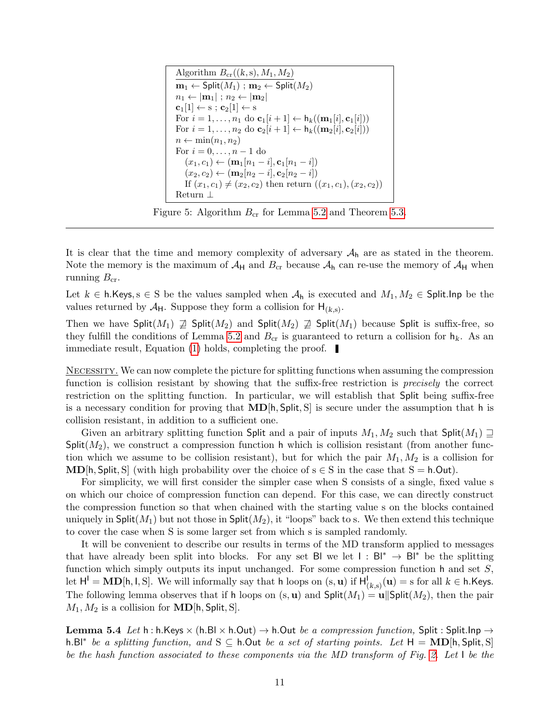```
Algorithm B_{\rm cr}((k, s), M_1, M_2)m_1 \leftarrow \mathsf{Split}(M_1); m_2 \leftarrow \mathsf{Split}(M_2)n_1 \leftarrow |\mathbf{m}_1|; n_2 \leftarrow |\mathbf{m}_2|\mathbf{c}_1[1] \leftarrow \mathbf{s}; \mathbf{c}_2[1] \leftarrow \mathbf{s}For i = 1, \ldots, n_1 do \mathbf{c}_1[i+1] \leftarrow \mathsf{h}_k((\mathbf{m}_1[i], \mathbf{c}_1[i]))For i = 1, \ldots, n_2 do \mathbf{c}_2[i+1] \leftarrow \mathsf{h}_k((\mathbf{m}_2[i], \mathbf{c}_2[i]))n \leftarrow \min(n_1, n_2)For i = 0, ..., n - 1 do
(x_1, c_1) \leftarrow (\mathbf{m}_1[n_1 - i], \mathbf{c}_1[n_1 - i])\left(x_2, c_2\right) \leftarrow \left(\mathbf{m}_2[n_2-i], \mathbf{c}_2[n_2-i]\right)If (x_1, c_1) \neq (x_2, c_2) then return ((x_1, c_1), (x_2, c_2))Return ⊥
```
<span id="page-10-0"></span>Figure 5: Algorithm  $B_{cr}$  for Lemma [5.2](#page-9-1) and Theorem [5.3.](#page-9-0)

It is clear that the time and memory complexity of adversary  $A_h$  are as stated in the theorem. Note the memory is the maximum of  $A_H$  and  $B_{cr}$  because  $A_h$  can re-use the memory of  $A_H$  when running  $B_{cr}$ .

Let  $k \in \mathsf{h}$ . Keys,  $s \in \mathsf{S}$  be the values sampled when  $A_{\mathsf{h}}$  is executed and  $M_1, M_2 \in \mathsf{Split}$ . Inp be the values returned by  $\mathcal{A}_{H}$ . Suppose they form a collision for  $H_{(k,s)}$ .

Then we have  $\text{Split}(M_1) \not\supseteq \text{Split}(M_2)$  and  $\text{Split}(M_2) \not\supseteq \text{Split}(M_1)$  because Split is suffix-free, so they fulfill the conditions of Lemma [5.2](#page-9-1) and  $B_{cr}$  is guaranteed to return a collision for  $h_k$ . As an immediate result, Equation [\(1\)](#page-9-2) holds, completing the proof.

Necessity. We can now complete the picture for splitting functions when assuming the compression function is collision resistant by showing that the suffix-free restriction is *precisely* the correct restriction on the splitting function. In particular, we will establish that Split being suffix-free is a necessary condition for proving that  $MD[h, Split, S]$  is secure under the assumption that h is collision resistant, in addition to a sufficient one.

Given an arbitrary splitting function Split and a pair of inputs  $M_1, M_2$  such that Split $(M_1) \supseteq$  $Split(M_2)$ , we construct a compression function h which is collision resistant (from another function which we assume to be collision resistant), but for which the pair  $M_1, M_2$  is a collision for **MD**[h, Split, S] (with high probability over the choice of  $s \in S$  in the case that  $S = h \cdot Out$ ).

For simplicity, we will first consider the simpler case when S consists of a single, fixed value s on which our choice of compression function can depend. For this case, we can directly construct the compression function so that when chained with the starting value s on the blocks contained uniquely in Split $(M_1)$  but not those in Split $(M_2)$ , it "loops" back to s. We then extend this technique to cover the case when S is some larger set from which s is sampled randomly.

It will be convenient to describe our results in terms of the MD transform applied to messages that have already been split into blocks. For any set BI we let  $I : Bl^* \to Bl^*$  be the splitting function which simply outputs its input unchanged. For some compression function  $h$  and set  $S$ , let  $H^1 = \textbf{MD}[h, l, S]$ . We will informally say that h loops on  $(s, \textbf{u})$  if  $H^1_{(k,s)}(\textbf{u}) = s$  for all  $k \in h$ .Keys. The following lemma observes that if h loops on  $(s, u)$  and  $\text{Split}(M_1) = u \|\text{Split}(M_2)$ , then the pair  $M_1, M_2$  is a collision for **MD**[h, Split, S].

<span id="page-10-1"></span>**Lemma 5.4** Let h : h.Keys  $\times$  (h.Bl  $\times$  h.Out)  $\rightarrow$  h.Out be a compression function, Split : Split.Inp  $\rightarrow$ h.Bl<sup>\*</sup> be a splitting function, and S  $\subseteq$  h.Out be a set of starting points. Let  $H = \text{MD}[h, \text{Split}, S]$ be the hash function associated to these components via the MD transform of Fig. [2.](#page-7-1) Let I be the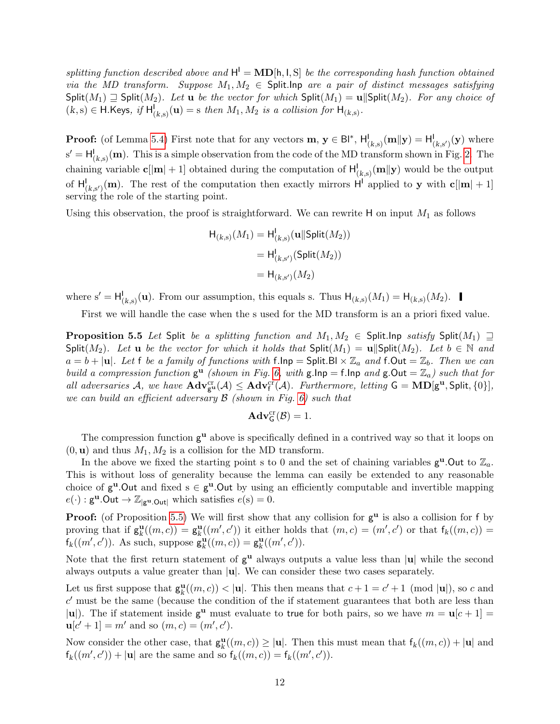splitting function described above and  $H^1 = \text{MD}[\text{h}, \text{l}, \text{S}]$  be the corresponding hash function obtained via the MD transform. Suppose  $M_1, M_2 \in$  Split. Inp are a pair of distinct messages satisfying  $\text{Split}(M_1) \supseteq \text{Split}(M_2)$ . Let u be the vector for which  $\text{Split}(M_1) = \text{u}||\text{Split}(M_2)$ . For any choice of  $(k, s) \in \mathsf{H}$ .Keys, if  $\mathsf{H}_{(k, s)}^{\mathsf{I}}(\mathbf{u}) = s$  then  $M_1, M_2$  is a collision for  $\mathsf{H}_{(k, s)}$ .

**Proof:** (of Lemma [5.4\)](#page-10-1) First note that for any vectors  $\mathbf{m}, \mathbf{y} \in \mathsf{Bl}^*, \mathsf{H}_{(k,s)}^{\mathsf{I}}(\mathbf{m}||\mathbf{y}) = \mathsf{H}_{(k,s')}^{\mathsf{I}}(\mathbf{y})$  where  $s' = H_{(k,s)}^{\dagger}(\mathbf{m})$ . This is a simple observation from the code of the MD transform shown in Fig. [2.](#page-7-1) The chaining variable  $c[|\mathbf{m}|+1]$  obtained during the computation of  $H^1_{(k,s)}(\mathbf{m}||\mathbf{y})$  would be the output of  $H_{(k,s')}^{\perp}(\mathbf{m})$ . The rest of the computation then exactly mirrors  $H^{\perp}$  applied to y with  $\mathbf{c}[\mathbf{m}|+1]$ serving the role of the starting point.

Using this observation, the proof is straightforward. We can rewrite  $H$  on input  $M_1$  as follows

$$
H_{(k,s)}(M_1) = H_{(k,s)}^1(\mathbf{u}||\mathsf{Split}(M_2))
$$

$$
= H_{(k,s')}^1(\mathsf{Split}(M_2))
$$

$$
= H_{(k,s')}(M_2)
$$

where  $s' = H_{(k,s)}^{\mathsf{I}}(\mathbf{u})$ . From our assumption, this equals s. Thus  $H_{(k,s)}(M_1) = H_{(k,s)}(M_2)$ .

First we will handle the case when the s used for the MD transform is an a priori fixed value.

<span id="page-11-0"></span>**Proposition 5.5** Let Split be a splitting function and  $M_1, M_2 \in$  Split. Inp satisfy Split $(M_1) \supseteq$ Split(M<sub>2</sub>). Let **u** be the vector for which it holds that  $\text{Split}(M_1) = \textbf{u} \mid \text{Split}(M_2)$ . Let  $b \in \mathbb{N}$  and  $a = b + |\mathbf{u}|$ . Let f be a family of functions with f.lnp = Split. Bl  $\times \mathbb{Z}_a$  and f. Out =  $\mathbb{Z}_b$ . Then we can build a compression function  $g^{\mathbf{u}}$  (shown in Fig. [6,](#page-12-0) with  $g\cdot \ln p = f\cdot \ln p$  and  $g\cdot \text{Out} = \mathbb{Z}_a$ ) such that for all adversaries A, we have  $\mathbf{Adv}_{g^u}^{cr}(\mathcal{A}) \leq \mathbf{Adv}_{f}^{cr}(\mathcal{A})$ . Furthermore, letting  $G = \mathbf{MD}[g^u, \mathsf{Split}, \{0\}],$ we can build an efficient adversary B (shown in Fig. [6\)](#page-12-0) such that

$$
\mathbf{Adv}^{\mathrm{cr}}_G(\mathcal{B})=1.
$$

The compression function  $g^{\mathbf{u}}$  above is specifically defined in a contrived way so that it loops on  $(0, \mathbf{u})$  and thus  $M_1, M_2$  is a collision for the MD transform.

In the above we fixed the starting point s to 0 and the set of chaining variables  $g^{\mathbf{u}}$ . Out to  $\mathbb{Z}_a$ . This is without loss of generality because the lemma can easily be extended to any reasonable choice of  $g^u$ . Out and fixed  $s \in g^u$ . Out by using an efficiently computable and invertible mapping  $e(\cdot) : \mathbf{g}^{\mathbf{u}}$ .Out  $\to \mathbb{Z}_{|\mathbf{g}^{\mathbf{u}}$ .Out| which satisfies  $e(\mathbf{s}) = 0$ .

**Proof:** (of Proposition [5.5\)](#page-11-0) We will first show that any collision for  $g^u$  is also a collision for f by proving that if  $\mathsf{g}_k^{\mathbf{u}}((m,c)) = \mathsf{g}_k^{\mathbf{u}}((m',c'))$  it either holds that  $(m,c) = (m',c')$  or that  $f_k((m,c)) =$  $f_k((m', c'))$ . As such, suppose  $\mathbf{g}_k^{\mathbf{u}}((m, c)) = \mathbf{g}_k^{\mathbf{u}}((m', c')).$ 

Note that the first return statement of  $g^{\mathbf{u}}$  always outputs a value less than  $|\mathbf{u}|$  while the second always outputs a value greater than  $|\mathbf{u}|$ . We can consider these two cases separately.

Let us first suppose that  $\mathbf{g}_{k}^{\mathbf{u}}((m, c)) < |\mathbf{u}|$ . This then means that  $c + 1 = c' + 1 \pmod{|\mathbf{u}|}$ , so c and  $c'$  must be the same (because the condition of the if statement guarantees that both are less than |u|). The if statement inside  $g^{\mathbf{u}}$  must evaluate to true for both pairs, so we have  $m = \mathbf{u}[c+1] =$  $u[c'+1] = m'$  and so  $(m, c) = (m', c')$ .

Now consider the other case, that  $\mathsf{g}_k^{\mathbf{u}}((m,c)) \geq |\mathbf{u}|$ . Then this must mean that  $f_k((m,c)) + |\mathbf{u}|$  and  $f_k((m', c')) + |\mathbf{u}|$  are the same and so  $f_k((m, c)) = f_k((m', c')).$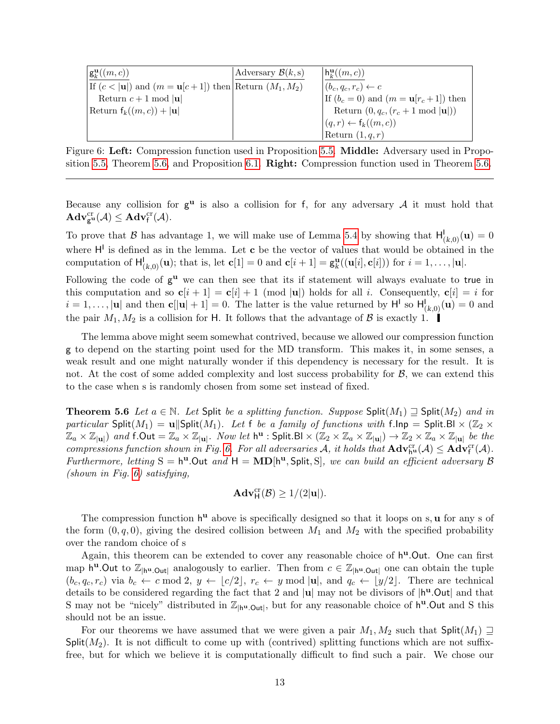| $\vert \mathbf{g}_{k}^{\mathbf{u}}((m,c)) \vert$             | Adversary $\mathcal{B}(k, s)$ | $\vert h_k^{\mathbf{u}}((m,c)) \vert$               |
|--------------------------------------------------------------|-------------------------------|-----------------------------------------------------|
| If $(c <  u )$ and $(m = u[c + 1])$ then Return $(M_1, M_2)$ |                               | $ (b_c, q_c, r_c) \leftarrow c$                     |
| Return $c+1$ mod   <b>u</b>                                  |                               | If $(b_c = 0)$ and $(m = \mathbf{u}[r_c + 1])$ then |
| Return $f_k((m,c)) +  \mathbf{u} $                           |                               | Return $(0, q_c, (r_c + 1 \mod  \mathbf{u} ))$      |
|                                                              |                               | $(q,r) \leftarrow f_k((m,c))$                       |
|                                                              |                               | Return $(1, q, r)$                                  |

<span id="page-12-0"></span>Figure 6: Left: Compression function used in Proposition [5.5.](#page-11-0) Middle: Adversary used in Propo-sition [5.5,](#page-11-0) Theorem [5.6,](#page-12-1) and Proposition [6.1.](#page-14-0) **Right:** Compression function used in Theorem [5.6.](#page-12-1)

Because any collision for  $g^u$  is also a collision for f, for any adversary A it must hold that  $\mathbf{Adv}_{\mathbf{g}^{\mathrm{u}}}^{\mathrm{cr}}(\mathcal{A}) \leq \mathbf{Adv}_{\mathsf{f}}^{\mathrm{cr}}(\mathcal{A}).$ 

To prove that B has advantage 1, we will make use of Lemma [5.4](#page-10-1) by showing that  $H^1_{(k,0)}(\mathbf{u})=0$ where  $H^{\dagger}$  is defined as in the lemma. Let **c** be the vector of values that would be obtained in the computation of  $H^1_{(k,0)}(\mathbf{u})$ ; that is, let  $\mathbf{c}[1] = 0$  and  $\mathbf{c}[i+1] = \mathbf{g}_k^{\mathbf{u}}((\mathbf{u}[i], \mathbf{c}[i]))$  for  $i = 1, \ldots, |\mathbf{u}|$ .

Following the code of  $g^u$  we can then see that its if statement will always evaluate to true in this computation and so  $c[i + 1] = c[i] + 1 \pmod{|\mathbf{u}|}$  holds for all i. Consequently,  $c[i] = i$  for  $i = 1, \ldots, |\mathbf{u}|$  and then  $\mathbf{c}[\lvert \mathbf{u} \rvert + 1] = 0$ . The latter is the value returned by  $\mathsf{H}^{\mathsf{I}}$  so  $\mathsf{H}^{\mathsf{I}}_{(k,0)}(\mathbf{u}) = 0$  and the pair  $M_1, M_2$  is a collision for H. It follows that the advantage of  $\beta$  is exactly 1.

The lemma above might seem somewhat contrived, because we allowed our compression function g to depend on the starting point used for the MD transform. This makes it, in some senses, a weak result and one might naturally wonder if this dependency is necessary for the result. It is not. At the cost of some added complexity and lost success probability for  $\mathcal{B}$ , we can extend this to the case when s is randomly chosen from some set instead of fixed.

<span id="page-12-1"></span>**Theorem 5.6** Let  $a \in \mathbb{N}$ . Let Split be a splitting function. Suppose Split $(M_1) \supseteq$  Split $(M_2)$  and in particular Split $(M_1) = \mathbf{u}$ ||Split $(M_1)$ . Let f be a family of functions with f.lnp = Split.Bl  $\times$  ( $\mathbb{Z}_2$   $\times$  $\mathbb{Z}_a \times \mathbb{Z}_{|\mathbf{u}|}$  and  $f.\mathsf{Out} = \mathbb{Z}_a \times \mathbb{Z}_{|\mathbf{u}|}$ . Now let  $\mathsf{h}^{\mathbf{u}}$  : Split.Bl  $\times (\mathbb{Z}_2 \times \mathbb{Z}_a \times \mathbb{Z}_{|\mathbf{u}|}) \to \mathbb{Z}_2 \times \mathbb{Z}_a \times \mathbb{Z}_{|\mathbf{u}|}$  be the compressions function shown in Fig. [6.](#page-12-0) For all adversaries A, it holds that  $\mathbf{Adv}_{h^u}^{cr}(\mathcal{A}) \leq \mathbf{Adv}_{f}^{cr}(\mathcal{A})$ . Furthermore, letting  $S = h^u$ . Out and  $H = MD[h^u, Split, S]$ , we can build an efficient adversary  $\beta$  $(shown \in Fig. 6) satisfying,$  $(shown \in Fig. 6) satisfying,$  $(shown \in Fig. 6) satisfying,$ 

$$
\mathbf{Adv}_{\mathsf{H}}^{\mathrm{cr}}(\mathcal{B}) \ge 1/(2|\mathbf{u}|).
$$

The compression function  $h^{\mathbf{u}}$  above is specifically designed so that it loops on s,  $\mathbf{u}$  for any s of the form  $(0, q, 0)$ , giving the desired collision between  $M_1$  and  $M_2$  with the specified probability over the random choice of s

Again, this theorem can be extended to cover any reasonable choice of  $h<sup>u</sup>$ . Out. One can first map  $h^u$ . Out to  $\mathbb{Z}_{|h^u|}$  analogously to earlier. Then from  $c \in \mathbb{Z}_{|h^u|}$  one can obtain the tuple  $(b_c, q_c, r_c)$  via  $b_c \leftarrow c \mod 2$ ,  $y \leftarrow \lfloor c/2 \rfloor$ ,  $r_c \leftarrow y \mod |\mathbf{u}|$ , and  $q_c \leftarrow \lfloor y/2 \rfloor$ . There are technical details to be considered regarding the fact that 2 and  $|u|$  may not be divisors of  $|h^u$ . Out and that S may not be "nicely" distributed in  $\mathbb{Z}_{h^u \text{.} Out}$ , but for any reasonable choice of  $h^u$ . Out and S this should not be an issue.

For our theorems we have assumed that we were given a pair  $M_1, M_2$  such that Split $(M_1) \supseteq$ Split( $M_2$ ). It is not difficult to come up with (contrived) splitting functions which are not suffixfree, but for which we believe it is computationally difficult to find such a pair. We chose our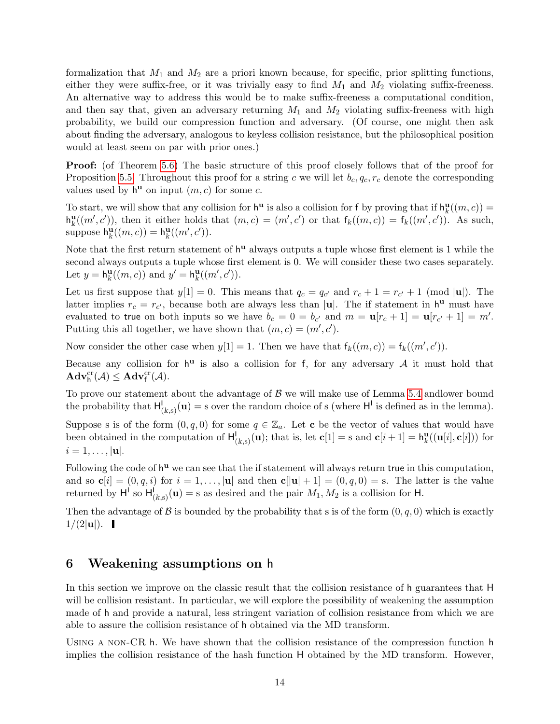formalization that  $M_1$  and  $M_2$  are a priori known because, for specific, prior splitting functions, either they were suffix-free, or it was trivially easy to find  $M_1$  and  $M_2$  violating suffix-freeness. An alternative way to address this would be to make suffix-freeness a computational condition, and then say that, given an adversary returning  $M_1$  and  $M_2$  violating suffix-freeness with high probability, we build our compression function and adversary. (Of course, one might then ask about finding the adversary, analogous to keyless collision resistance, but the philosophical position would at least seem on par with prior ones.)

**Proof:** (of Theorem [5.6\)](#page-12-1) The basic structure of this proof closely follows that of the proof for Proposition [5.5.](#page-11-0) Throughout this proof for a string c we will let  $b_c, q_c, r_c$  denote the corresponding values used by  $h^{\mathbf{u}}$  on input  $(m, c)$  for some c.

To start, we will show that any collision for  $h^{\mathbf{u}}$  is also a collision for f by proving that if  $h_k^{\mathbf{u}}((m, c)) =$  $h_k^{\mathbf{u}}((m',c'))$ , then it either holds that  $(m,c) = (m',c')$  or that  $f_k((m,c)) = f_k((m',c'))$ . As such, suppose  $h_k^{\mathbf{u}}((m,c)) = h_k^{\mathbf{u}}((m',c')).$ 

Note that the first return statement of  $h^u$  always outputs a tuple whose first element is 1 while the second always outputs a tuple whose first element is 0. We will consider these two cases separately. Let  $y = h_k^{\mathbf{u}}((m, c))$  and  $y' = h_k^{\mathbf{u}}((m', c')).$ 

Let us first suppose that  $y[1] = 0$ . This means that  $q_c = q_{c'}$  and  $r_c + 1 = r_{c'} + 1 \pmod{|\mathbf{u}|}$ . The latter implies  $r_c = r_{c'}$ , because both are always less than |u|. The if statement in  $h^{\mathbf{u}}$  must have evaluated to true on both inputs so we have  $b_c = 0 = b_{c'}$  and  $m = \mathbf{u}[r_c + 1] = \mathbf{u}[r_{c'} + 1] = m'.$ Putting this all together, we have shown that  $(m, c) = (m', c')$ .

Now consider the other case when  $y[1] = 1$ . Then we have that  $f_k((m, c)) = f_k((m', c')).$ 

Because any collision for  $h^u$  is also a collision for f, for any adversary A it must hold that  $\mathbf{Adv}_{h}^{cr}(\mathcal{A}) \leq \mathbf{Adv}_{f}^{cr}(\mathcal{A}).$ 

To prove our statement about the advantage of  $\beta$  we will make use of Lemma [5.4](#page-10-1) and lower bound the probability that  $H_{(k,s)}^{\mathsf{I}}(\mathbf{u}) = s$  over the random choice of s (where  $H^{\mathsf{I}}$  is defined as in the lemma).

Suppose s is of the form  $(0, q, 0)$  for some  $q \in \mathbb{Z}_a$ . Let **c** be the vector of values that would have been obtained in the computation of  $H_{(k,s)}^{\mathsf{I}}(\mathbf{u});$  that is, let  $\mathbf{c}[1] = \mathrm{s}$  and  $\mathbf{c}[i+1] = h_k^{\mathbf{u}}((\mathbf{u}[i], \mathbf{c}[i]))$  for  $i = 1, \ldots, |\mathbf{u}|.$ 

Following the code of  $h^u$  we can see that the if statement will always return true in this computation, and so  $\mathbf{c}[i] = (0, q, i)$  for  $i = 1, \ldots, |\mathbf{u}|$  and then  $\mathbf{c}[|\mathbf{u}| + 1] = (0, q, 0) = \mathbf{s}$ . The latter is the value returned by  $H^1$  so  $H^1_{(k,s)}(\mathbf{u}) = s$  as desired and the pair  $M_1, M_2$  is a collision for H.

Then the advantage of  $\beta$  is bounded by the probability that s is of the form  $(0, q, 0)$  which is exactly  $1/(2|{\bf u}|).$ 

#### <span id="page-13-0"></span>6 Weakening assumptions on h

In this section we improve on the classic result that the collision resistance of h guarantees that H will be collision resistant. In particular, we will explore the possibility of weakening the assumption made of h and provide a natural, less stringent variation of collision resistance from which we are able to assure the collision resistance of h obtained via the MD transform.

USING A NON-CR h. We have shown that the collision resistance of the compression function h implies the collision resistance of the hash function H obtained by the MD transform. However,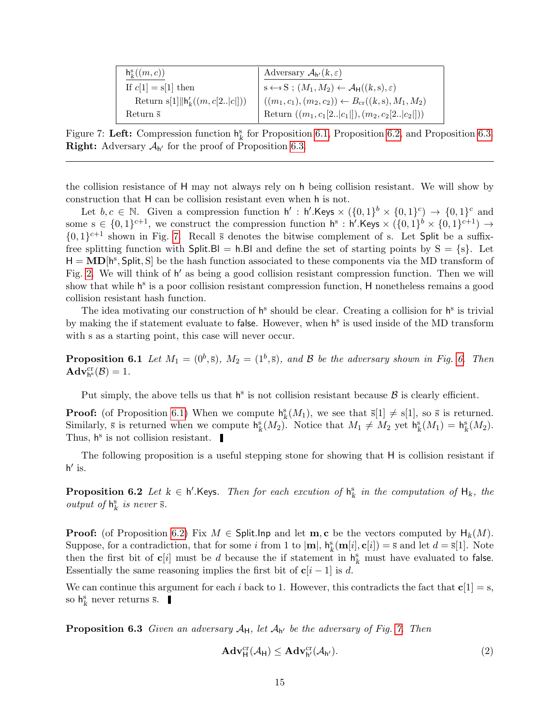| $h^s_{\nu}((m,c))$               | Adversary $\mathcal{A}_{h'}(k,\varepsilon)$                           |
|----------------------------------|-----------------------------------------------------------------------|
| If $c[1] = s[1]$ then            | $s \leftarrow s S$ ; $(M_1, M_2) \leftarrow A_H((k, s), \varepsilon)$ |
| Return s[1] $ h'_k((m, c[2 c]))$ | $((m_1, c_1), (m_2, c_2)) \leftarrow B_{\rm cr}((k, s), M_1, M_2)$    |
| Return $\bar{s}$                 | Return $((m_1, c_1[2 c_1 ]), (m_2, c_2[2 c_2 ]))$                     |

<span id="page-14-3"></span>Figure 7: Left: Compression function  $h_k^s$  for Proposition [6.1,](#page-14-0) Proposition [6.2,](#page-14-1) and Proposition [6.3.](#page-14-2) **Right:** Adversary  $A_{h'}$  for the proof of Proposition [6.3.](#page-14-2)

the collision resistance of H may not always rely on h being collision resistant. We will show by construction that H can be collision resistant even when h is not.

Let  $b, c \in \mathbb{N}$ . Given a compression function  $h' : h'.\mathsf{Keys} \times (\{0,1\}^b \times \{0,1\}^c) \to \{0,1\}^c$  and some  $s \in \{0,1\}^{c+1}$ , we construct the compression function  $h^s : h'.K$ eys  $\times (\{0,1\}^b \times \{0,1\}^{c+1}) \rightarrow$  $\{0,1\}^{c+1}$  shown in Fig. [7.](#page-14-3) Recall  $\bar{s}$  denotes the bitwise complement of s. Let Split be a suffixfree splitting function with  $Split.BI = h.BI$  and define the set of starting points by  $S = \{s\}$ . Let  $H = \text{MD}[h^s, \text{Split}, S]$  be the hash function associated to these components via the MD transform of Fig. [2.](#page-7-1) We will think of h' as being a good collision resistant compression function. Then we will show that while h<sup>s</sup> is a poor collision resistant compression function, H nonetheless remains a good collision resistant hash function.

The idea motivating our construction of  $h^s$  should be clear. Creating a collision for  $h^s$  is trivial by making the if statement evaluate to false. However, when h<sup>s</sup> is used inside of the MD transform with s as a starting point, this case will never occur.

<span id="page-14-0"></span>**Proposition [6.](#page-12-0)1** Let  $M_1 = (0^b, \bar{s}), M_2 = (1^b, \bar{s}),$  and  $\beta$  be the adversary shown in Fig. 6. Then  $\mathbf{Adv}_{\mathsf{h}^{\textup{S}}}^{\textup{cr}}(\mathcal{B})=1.$ 

Put simply, the above tells us that  $h^s$  is not collision resistant because  $\beta$  is clearly efficient.

**Proof:** (of Proposition [6.1\)](#page-14-0) When we compute  $h_k^s(M_1)$ , we see that  $\overline{s}[1] \neq s[1]$ , so  $\overline{s}$  is returned. Similarly,  $\bar{s}$  is returned when we compute  $h_k^s(M_2)$ . Notice that  $M_1 \neq M_2$  yet  $h_k^s(M_1) = h_k^s(M_2)$ . Thus,  $h^s$  is not collision resistant.

The following proposition is a useful stepping stone for showing that H is collision resistant if  $h'$  is.

<span id="page-14-1"></span>**Proposition 6.2** Let  $k \in \mathsf{h}'$ . Keys. Then for each excution of  $\mathsf{h}_k^s$  in the computation of  $\mathsf{H}_k$ , the output of  $\mathsf{h}^{\text{s}}_k$  is never  $\bar{\text{s}}.$ 

**Proof:** (of Proposition [6.2\)](#page-14-1) Fix  $M \in$  Split.lnp and let  $\mathbf{m}, \mathbf{c}$  be the vectors computed by  $\mathsf{H}_k(M)$ . Suppose, for a contradiction, that for some i from 1 to  $|\mathbf{m}|$ ,  $h_k^s(\mathbf{m}[i], \mathbf{c}[i]) = \overline{s}$  and let  $d = \overline{s}[1]$ . Note then the first bit of  $c[i]$  must be d because the if statement in  $h_k^s$  must have evaluated to false. Essentially the same reasoning implies the first bit of  $c[i - 1]$  is d.

We can continue this argument for each i back to 1. However, this contradicts the fact that  $c[1] = s$ , so  $\mathsf{h}^{\text{s}}_k$  never returns  $\bar{\text{s}}$ .

<span id="page-14-2"></span>**Proposition 6.3** Given an adversary  $A_H$ , let  $A_{h'}$  be the adversary of Fig. [7.](#page-14-3) Then

<span id="page-14-4"></span>
$$
\mathbf{Adv}_{\mathsf{H}}^{\mathrm{cr}}(\mathcal{A}_{\mathsf{H}}) \leq \mathbf{Adv}_{\mathsf{h}'}^{\mathrm{cr}}(\mathcal{A}_{\mathsf{h}'}).
$$
\n
$$
(2)
$$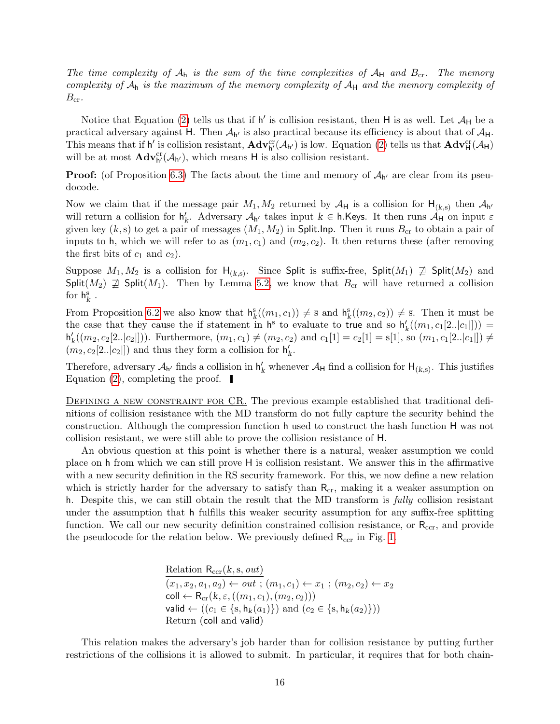The time complexity of  $A_h$  is the sum of the time complexities of  $A_H$  and  $B_{cr}$ . The memory complexity of  $A_h$  is the maximum of the memory complexity of  $A_H$  and the memory complexity of  $B_{\rm cr}.$ 

Notice that Equation [\(2\)](#page-14-4) tells us that if  $h'$  is collision resistant, then H is as well. Let  $\mathcal{A}_H$  be a practical adversary against H. Then  $A_{h'}$  is also practical because its efficiency is about that of  $A_H$ . This means that if h' is collision resistant,  $\mathbf{Adv}_{h'}^{cr}(\mathcal{A}_{h'})$  is low. Equation [\(2\)](#page-14-4) tells us that  $\mathbf{Adv}_{H}^{cr}(\mathcal{A}_{H})$ will be at most  $\mathbf{Adv}_{h'}^{cr}(\mathcal{A}_{h'})$ , which means H is also collision resistant.

**Proof:** (of Proposition [6.3\)](#page-14-2) The facts about the time and memory of  $A_{h'}$  are clear from its pseudocode.

Now we claim that if the message pair  $M_1, M_2$  returned by  $\mathcal{A}_{\mathsf{H}}$  is a collision for  $\mathsf{H}_{(k,s)}$  then  $\mathcal{A}_{\mathsf{h}'}$ will return a collision for  $h'_k$ . Adversary  $\mathcal{A}_{h'}$  takes input  $k \in \mathsf{h}$ . Keys. It then runs  $\mathcal{A}_{H}$  on input  $\varepsilon$ given key  $(k, s)$  to get a pair of messages  $(M_1, M_2)$  in Split. Inp. Then it runs  $B_{cr}$  to obtain a pair of inputs to h, which we will refer to as  $(m_1, c_1)$  and  $(m_2, c_2)$ . It then returns these (after removing the first bits of  $c_1$  and  $c_2$ ).

Suppose  $M_1, M_2$  is a collision for  $H_{(k,s)}$ . Since Split is suffix-free, Split $(M_1) \nsubseteq$  Split $(M_2)$  and Split( $M_2$ )  $\neq$  Split( $M_1$ ). Then by Lemma [5.2,](#page-9-1) we know that  $B_{cr}$  will have returned a collision for  $h_k^s$ .

From Proposition [6.2](#page-14-1) we also know that  $h_k^s((m_1, c_1)) \neq \overline{s}$  and  $h_k^s((m_2, c_2)) \neq \overline{s}$ . Then it must be the case that they cause the if statement in  $h^s$  to evaluate to true and so  $h'_k((m_1, c_1[2..|c_1])) =$  $h'_k((m_2, c_2[2..|c_2]]))$ . Furthermore,  $(m_1, c_1) \neq (m_2, c_2)$  and  $c_1[1] = c_2[1] = s[1]$ , so  $(m_1, c_1[2..|c_1]]) \neq$  $(\bar{m}_2, c_2[2..|c_2|])$  and thus they form a collision for  $\mathsf{h}'_k$ .

Therefore, adversary  $\mathcal{A}_{h'}$  finds a collision in  $h'_k$  whenever  $\mathcal{A}_H$  find a collision for  $H_{(k,s)}$ . This justifies Equation [\(2\)](#page-14-4), completing the proof.  $\blacksquare$ 

DEFINING A NEW CONSTRAINT FOR CR. The previous example established that traditional definitions of collision resistance with the MD transform do not fully capture the security behind the construction. Although the compression function h used to construct the hash function H was not collision resistant, we were still able to prove the collision resistance of H.

An obvious question at this point is whether there is a natural, weaker assumption we could place on h from which we can still prove H is collision resistant. We answer this in the affirmative with a new security definition in the RS security framework. For this, we now define a new relation which is strictly harder for the adversary to satisfy than  $R_{cr}$ , making it a weaker assumption on h. Despite this, we can still obtain the result that the MD transform is fully collision resistant under the assumption that h fulfills this weaker security assumption for any suffix-free splitting function. We call our new security definition constrained collision resistance, or  $R_{\rm ccr}$ , and provide the pseudocode for the relation below. We previously defined  $R_{\text{ccr}}$  in Fig. [1.](#page-6-1)

> Relation  $R_{\text{ccr}}(k, s, out)$  $(x_1, x_2, a_1, a_2) \leftarrow out$ ;  $(m_1, c_1) \leftarrow x_1$ ;  $(m_2, c_2) \leftarrow x_2$ coll  $\leftarrow$  R<sub>cr</sub>(k,  $\varepsilon$ , ((m<sub>1</sub>, c<sub>1</sub>), (m<sub>2</sub>, c<sub>2</sub>))) valid ←  $((c_1 \in \{s, h_k(a_1)\})$  and  $(c_2 \in \{s, h_k(a_2)\}))$ Return (coll and valid)

This relation makes the adversary's job harder than for collision resistance by putting further restrictions of the collisions it is allowed to submit. In particular, it requires that for both chain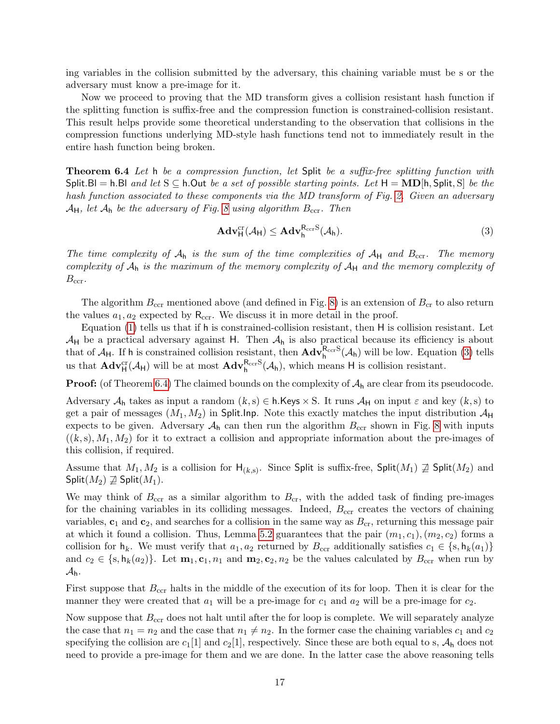ing variables in the collision submitted by the adversary, this chaining variable must be s or the adversary must know a pre-image for it.

Now we proceed to proving that the MD transform gives a collision resistant hash function if the splitting function is suffix-free and the compression function is constrained-collision resistant. This result helps provide some theoretical understanding to the observation that collisions in the compression functions underlying MD-style hash functions tend not to immediately result in the entire hash function being broken.

<span id="page-16-0"></span>Theorem 6.4 Let h be a compression function, let Split be a suffix-free splitting function with Split.Bl = h.Bl and let  $S \subseteq h$ .Out be a set of possible starting points. Let  $H = \textbf{MD}[h, \text{Split}, S]$  be the hash function associated to these components via the MD transform of Fig. [2.](#page-7-1) Given an adversary  $\mathcal{A}_{H}$ , let  $\mathcal{A}_{h}$  be the adversary of Fig. [8](#page-17-0) using algorithm  $B_{\text{ccr}}$ . Then

<span id="page-16-1"></span>
$$
\mathbf{Adv}_{\mathsf{H}}^{\mathrm{cr}}(\mathcal{A}_{\mathsf{H}}) \leq \mathbf{Adv}_{\mathsf{h}}^{\mathrm{R}_{\mathrm{ccr}}\mathrm{S}}(\mathcal{A}_{\mathsf{h}}).
$$
\n(3)

The time complexity of  $A_h$  is the sum of the time complexities of  $A_H$  and  $B_{ccr}$ . The memory complexity of  $A_h$  is the maximum of the memory complexity of  $A_H$  and the memory complexity of  $B_{\rm ccr}$ .

The algorithm  $B_{\text{ccr}}$  mentioned above (and defined in Fig. [8\)](#page-17-0) is an extension of  $B_{\text{cr}}$  to also return the values  $a_1, a_2$  expected by  $\mathsf{R}_{\text{ccr}}$ . We discuss it in more detail in the proof.

Equation [\(1\)](#page-9-2) tells us that if h is constrained-collision resistant, then H is collision resistant. Let  $A_H$  be a practical adversary against H. Then  $A_h$  is also practical because its efficiency is about that of  $\mathcal{A}_H$ . If h is constrained collision resistant, then  $\mathbf{Adv}_{h}^{\mathsf{R}_{\textup{cer}}S}(\mathcal{A}_h)$  will be low. Equation [\(3\)](#page-16-1) tells us that  $\mathbf{Adv}_{\mathsf{H}}^{\text{cr}}(\mathcal{A}_{\mathsf{H}})$  will be at most  $\mathbf{Adv}_{\mathsf{h}}^{\mathsf{R}_{\text{ccr}}\text{S}}(\mathcal{A}_{\mathsf{h}})$ , which means H is collision resistant.

**Proof:** (of Theorem [6.4\)](#page-16-0) The claimed bounds on the complexity of  $A_h$  are clear from its pseudocode.

Adversary  $A_h$  takes as input a random  $(k, s) \in h$ . Keys  $\times S$ . It runs  $A_H$  on input  $\varepsilon$  and key  $(k, s)$  to get a pair of messages  $(M_1, M_2)$  in Split. Inp. Note this exactly matches the input distribution  $\mathcal{A}_{\mathsf{H}}$ expects to be given. Adversary  $A_h$  can then run the algorithm  $B_{\text{ccr}}$  shown in Fig. [8](#page-17-0) with inputs  $((k, s), M_1, M_2)$  for it to extract a collision and appropriate information about the pre-images of this collision, if required.

Assume that  $M_1, M_2$  is a collision for  $\mathsf{H}_{(k,s)}$ . Since Split is suffix-free, Split $(M_1) \not\supseteq \mathsf{Split}(M_2)$  and  $\mathsf{Split}(M_2) \not\supseteq \mathsf{Split}(M_1)$ .

We may think of  $B_{\text{ccr}}$  as a similar algorithm to  $B_{\text{cr}}$ , with the added task of finding pre-images for the chaining variables in its colliding messages. Indeed,  $B_{\rm cr}$  creates the vectors of chaining variables,  $c_1$  and  $c_2$ , and searches for a collision in the same way as  $B_{cr}$ , returning this message pair at which it found a collision. Thus, Lemma [5.2](#page-9-1) guarantees that the pair  $(m_1, c_1), (m_2, c_2)$  forms a collision for  $h_k$ . We must verify that  $a_1, a_2$  returned by  $B_{\text{ccr}}$  additionally satisfies  $c_1 \in \{s, h_k(a_1)\}\$ and  $c_2 \in \{s, h_k(a_2)\}\.$  Let  $\mathbf{m}_1, \mathbf{c}_1, n_1$  and  $\mathbf{m}_2, \mathbf{c}_2, n_2$  be the values calculated by  $B_{\text{ccr}}$  when run by  $A_h$ .

First suppose that  $B_{\text{ccr}}$  halts in the middle of the execution of its for loop. Then it is clear for the manner they were created that  $a_1$  will be a pre-image for  $c_1$  and  $a_2$  will be a pre-image for  $c_2$ .

Now suppose that  $B_{\text{ccr}}$  does not halt until after the for loop is complete. We will separately analyze the case that  $n_1 = n_2$  and the case that  $n_1 \neq n_2$ . In the former case the chaining variables  $c_1$  and  $c_2$ specifying the collision are  $c_1[1]$  and  $c_2[1]$ , respectively. Since these are both equal to s,  $A_h$  does not need to provide a pre-image for them and we are done. In the latter case the above reasoning tells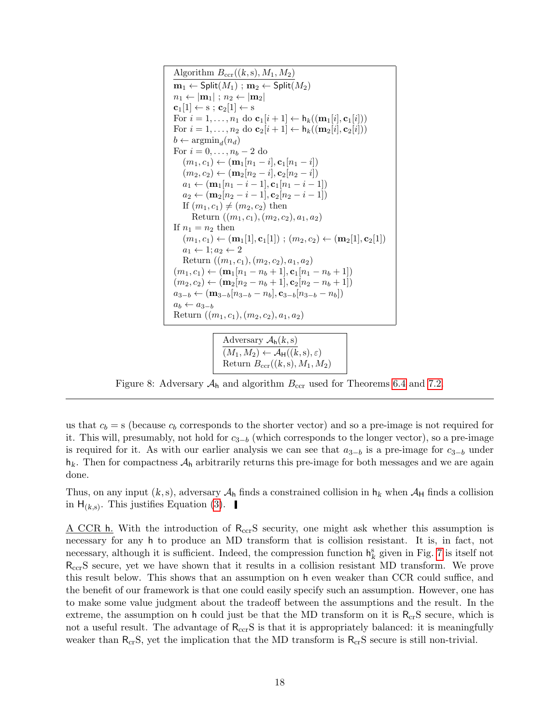Algorithm  $B_{\text{ccr}}((k, s), M_1, M_2)$  $m_1 \leftarrow$  Split $(M_1)$ ;  $m_2 \leftarrow$  Split $(M_2)$  $n_1 \leftarrow |\mathbf{m}_1|$ ;  $n_2 \leftarrow |\mathbf{m}_2|$  $c_1[1] \leftarrow s$ ;  $c_2[1] \leftarrow s$ For  $i = 1, \ldots, n_1$  do  $\mathbf{c}_1[i+1] \leftarrow \mathsf{h}_k((\mathbf{m}_1[i], \mathbf{c}_1[i]))$ For  $i = 1, \ldots, n_2$  do  $\mathbf{c}_2[i+1] \leftarrow \mathsf{h}_k((\mathbf{m}_2[i], \mathbf{c}_2[i]))$  $b \leftarrow \operatorname{argmin}_d(n_d)$ For  $i = 0, \ldots, n_b - 2$  do  $(m_1, c_1) \leftarrow (\mathbf{m}_1[n_1 - i], \mathbf{c}_1[n_1 - i])$  $(m_2, c_2) \leftarrow (\mathbf{m}_2[n_2 - i], \mathbf{c}_2[n_2 - i])$  $a_1 \leftarrow (\mathbf{m}_1[n_1 - i - 1], \mathbf{c}_1[n_1 - i - 1])$  $a_2 \leftarrow (\mathbf{m}_2[n_2 - i - 1], \mathbf{c}_2[n_2 - i - 1])$ If  $(m_1, c_1) \neq (m_2, c_2)$  then Return  $((m_1, c_1), (m_2, c_2), a_1, a_2)$ If  $n_1 = n_2$  then  $(m_1, c_1) \leftarrow (\mathbf{m}_1[1], \mathbf{c}_1[1]) ; (m_2, c_2) \leftarrow (\mathbf{m}_2[1], \mathbf{c}_2[1])$  $a_1 \leftarrow 1; a_2 \leftarrow 2$ Return  $((m_1, c_1), (m_2, c_2), a_1, a_2)$  $(m_1, c_1) \leftarrow (\mathbf{m}_1[n_1 - n_b + 1], \mathbf{c}_1[n_1 - n_b + 1])$  $(m_2, c_2) \leftarrow (\mathbf{m}_2[n_2 - n_b + 1], \mathbf{c}_2[n_2 - n_b + 1])$  $a_{3-b} \leftarrow (\mathbf{m}_{3-b}[n_{3-b} - n_b], \mathbf{c}_{3-b}[n_{3-b} - n_b])$  $a_b \leftarrow a_{3-b}$ Return  $((m_1, c_1), (m_2, c_2), a_1, a_2)$ 

```
Adversary \mathcal{A}_{h}(k,s)(M_1, M_2) \leftarrow \mathcal{A}_{\mathsf{H}}((k, s), \varepsilon)Return B_{\text{ccr}}((k, s), M_1, M_2)
```
<span id="page-17-0"></span>Figure 8: Adversary  $A_h$  and algorithm  $B_{\text{ccr}}$  used for Theorems [6.4](#page-16-0) and [7.2.](#page-21-1)

us that  $c_b = s$  (because  $c_b$  corresponds to the shorter vector) and so a pre-image is not required for it. This will, presumably, not hold for  $c_{3-b}$  (which corresponds to the longer vector), so a pre-image is required for it. As with our earlier analysis we can see that  $a_{3-b}$  is a pre-image for  $c_{3-b}$  under  $h_k$ . Then for compactness  $A_h$  arbitrarily returns this pre-image for both messages and we are again done.

Thus, on any input  $(k, s)$ , adversary  $\mathcal{A}_h$  finds a constrained collision in  $h_k$  when  $\mathcal{A}_H$  finds a collision in  $H_{(k,s)}$ . This justifies Equation [\(3\)](#page-16-1).

<span id="page-17-1"></span>A CCR h. With the introduction of  $R_{\rm ccr}$ S security, one might ask whether this assumption is necessary for any h to produce an MD transform that is collision resistant. It is, in fact, not necessary, although it is sufficient. Indeed, the compression function  $h_k^s$  given in Fig. [7](#page-14-3) is itself not R<sub>ccr</sub>S secure, yet we have shown that it results in a collision resistant MD transform. We prove this result below. This shows that an assumption on h even weaker than CCR could suffice, and the benefit of our framework is that one could easily specify such an assumption. However, one has to make some value judgment about the tradeoff between the assumptions and the result. In the extreme, the assumption on h could just be that the MD transform on it is  $R_{cr}S$  secure, which is not a useful result. The advantage of  $R_{\text{ccr}}S$  is that it is appropriately balanced: it is meaningfully weaker than  $R_{cr}S$ , yet the implication that the MD transform is  $R_{cr}S$  secure is still non-trivial.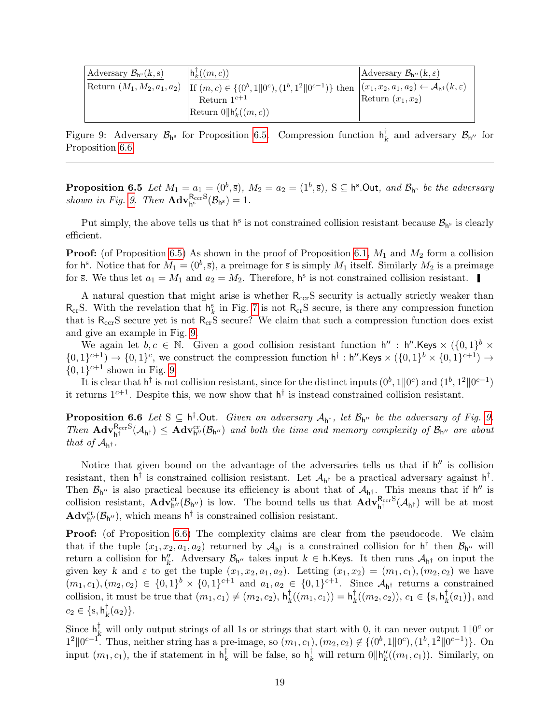| Adversary $\mathcal{B}_{h^s}(k,s)$ | $\vert h^{\dagger}_{k}((m,c)) \vert$                                                                                                                          | Adversary $\mathcal{B}_{h''}(k,\varepsilon)$ |
|------------------------------------|---------------------------------------------------------------------------------------------------------------------------------------------------------------|----------------------------------------------|
|                                    | Return $(M_1, M_2, a_1, a_2)$ If $(m, c) \in \{(0^b, 1   0^c), (1^b, 1^2   0^{c-1})\}$ then $(x_1, x_2, a_1, a_2) \leftarrow A_{h^{\dagger}}(k, \varepsilon)$ |                                              |
|                                    | Return $1^{c+1}$                                                                                                                                              | Return $(x_1, x_2)$                          |
|                                    | Return $0 \parallel h'_{k}((m, c))$                                                                                                                           |                                              |

<span id="page-18-1"></span>Figure 9: Adversary  $\mathcal{B}_{h^s}$  for Proposition [6.5.](#page-17-1) Compression function  $h_k^{\dagger}$  $\boldsymbol{\zeta}_{k}$  and adversary  $\mathcal{B}_{h''}$  for Proposition [6.6.](#page-18-0)

**Proposition 6.5** Let  $M_1 = a_1 = (0^b, \bar{s}), M_2 = a_2 = (1^b, \bar{s}), S \subseteq \mathsf{h}^s$ . Out, and  $\mathcal{B}_{\mathsf{h}^s}$  be the adversary shown in Fig. [9.](#page-18-1) Then  $\mathbf{Adv}_{h^s}^{\mathsf{R}_{\text{ccr}}\text{S}}(\mathcal{B}_{h^s}) = 1.$ 

Put simply, the above tells us that  $h^s$  is not constrained collision resistant because  $\mathcal{B}_{h^s}$  is clearly efficient.

**Proof:** (of Proposition [6.5\)](#page-17-1) As shown in the proof of Proposition [6.1,](#page-14-0)  $M_1$  and  $M_2$  form a collision for  $h^s$ . Notice that for  $M_1 = (0^b, \overline{s})$ , a preimage for  $\overline{s}$  is simply  $M_1$  itself. Similarly  $M_2$  is a preimage for  $\bar{s}$ . We thus let  $a_1 = M_1$  and  $a_2 = M_2$ . Therefore, h<sup>s</sup> is not constrained collision resistant.

A natural question that might arise is whether  $R_{\text{ccr}}S$  security is actually strictly weaker than  $R_{cr}S$ . With the revelation that  $h_k^s$  in Fig. [7](#page-14-3) is not  $R_{cr}S$  secure, is there any compression function that is  $R_{\rm ccr}$ S secure yet is not  $R_{\rm cr}$ S secure? We claim that such a compression function does exist and give an example in Fig. [9.](#page-18-1)

We again let  $b, c \in \mathbb{N}$ . Given a good collision resistant function  $h'' : h''$ . Keys  $\times (\{0,1\}^b \times$  $\{0,1\}^{c+1}$   $\rightarrow$   $\{0,1\}^c$ , we construct the compression function  $h^{\dagger}$ :  $h''$ . Keys  $\times$   $(\{0,1\}^b \times \{0,1\}^{c+1})$   $\rightarrow$  $\{0,1\}^{c+1}$  shown in Fig. [9.](#page-18-1)

It is clear that  $h^{\dagger}$  is not collision resistant, since for the distinct inputs  $(0^b, 1||0^c)$  and  $(1^b, 1^2||0^{c-1})$ it returns  $1^{c+1}$ . Despite this, we now show that  $h^{\dagger}$  is instead constrained collision resistant.

<span id="page-18-0"></span>**Proposition 6.6** Let  $S \subseteq h^{\dagger}$ . Out. Given an adversary  $A_{h^{\dagger}}$ , let  $B_{h''}$  be the adversary of Fig. [9.](#page-18-1) Then  $\mathbf{Adv}_{h^{\dagger}}^{\mathrm{R_{ccr}S}}(\mathcal{A}_{h^{\dagger}}) \leq \mathbf{Adv}_{h''}^{\mathrm{cr}}(\mathcal{B}_{h''})$  and both the time and memory complexity of  $\mathcal{B}_{h''}$  are about that of  $\mathcal{A}_{h^{\dagger}}$ .

Notice that given bound on the advantage of the adversaries tells us that if  $h''$  is collision resistant, then  $h^{\dagger}$  is constrained collision resistant. Let  $\mathcal{A}_{h^{\dagger}}$  be a practical adversary against  $h^{\dagger}$ . Then  $\mathcal{B}_{h''}$  is also practical because its efficiency is about that of  $\mathcal{A}_{h^{\dagger}}$ . This means that if h'' is collision resistant,  $\mathbf{Adv}_{h''}^{cr}(\mathcal{B}_{h''})$  is low. The bound tells us that  $\mathbf{Adv}_{h^{\dagger}}^{R_{cc}S}(\mathcal{A}_{h^{\dagger}})$  will be at most  $\mathbf{Adv}_{h''}^{cr}(\mathcal{B}_{h''})$ , which means  $h^{\dagger}$  is constrained collision resistant.

**Proof:** (of Proposition [6.6\)](#page-18-0) The complexity claims are clear from the pseudocode. We claim that if the tuple  $(x_1, x_2, a_1, a_2)$  returned by  $\mathcal{A}_{h^{\dagger}}$  is a constrained collision for  $h^{\dagger}$  then  $\mathcal{B}_{h''}$  will return a collision for  $h''_k$ . Adversary  $\mathcal{B}_{h''}$  takes input k ∈ h.Keys. It then runs  $\mathcal{A}_{h^{\dagger}}$  on input the given key k and  $\varepsilon$  to get the tuple  $(x_1, x_2, a_1, a_2)$ . Letting  $(x_1, x_2) = (m_1, c_1), (m_2, c_2)$  we have  $(m_1, c_1), (m_2, c_2) \in \{0, 1\}^b \times \{0, 1\}^{c+1}$  and  $a_1, a_2 \in \{0, 1\}^{c+1}$ . Since  $\mathcal{A}_{h^{\dagger}}$  returns a constrained collision, it must be true that  $(m_1, c_1) \neq (m_2, c_2)$ ,  $h_k^{\dagger}$  $\frac{\dagger}{k}((m_1, c_1)) = \mathsf{h}_k^{\dagger}$  $\sharp_k^{\dagger}((m_2, c_2)),\, c_1\in \{\text{s}, \textsf{h}_k^{\dagger}$  $_{k}^{\lceil}(a_{1})\},$  and  $c_2 \in \{\mathrm{s},\mathrm{h}_k^{\dagger}$  $_{k}^{\dagger}(a_{2})\}.$ 

Since  $h_k^{\dagger}$  will only output strings of all 1s or strings that start with 0, it can never output  $1||0^c$  or  $1^2 || 0^{c-1}$ . Thus, neither string has a pre-image, so  $(m_1, c_1), (m_2, c_2) \notin \{(0^b, 1 || 0^c), (1^b, 1^2 || 0^{c-1})\}$ . On input  $(m_1, c_1)$ , the if statement in  $h_k^{\dagger}$  will be false, so  $h_k^{\dagger}$  will return  $0 \|\mathsf{h}_k''((m_1, c_1))$ . Similarly, on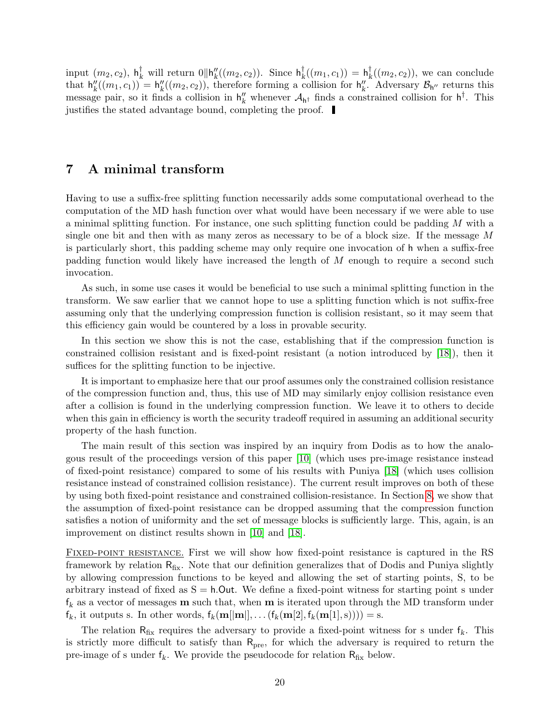<span id="page-19-1"></span>input  $(m_2, c_2)$ ,  $\mathsf{h}_k^{\dagger}$  will return  $0 \|\mathsf{h}_k''((m_2, c_2))$ . Since  $\mathsf{h}_k^{\dagger}$  $\frac{\dagger}{k} ((m_1, c_1)) = \textsf{h}_k^{\dagger}$  $\binom{1}{k}((m_2, c_2))$ , we can conclude that  $h''_k((m_1, c_1)) = h''_k((m_2, c_2))$ , therefore forming a collision for  $h''_k$ . Adversary  $\mathcal{B}_{h''}$  returns this message pair, so it finds a collision in  $h''_k$  whenever  $A_{h^{\dagger}}$  finds a constrained collision for  $h^{\dagger}$ . This justifies the stated advantage bound, completing the proof.

#### <span id="page-19-0"></span>7 A minimal transform

Having to use a suffix-free splitting function necessarily adds some computational overhead to the computation of the MD hash function over what would have been necessary if we were able to use a minimal splitting function. For instance, one such splitting function could be padding M with a single one bit and then with as many zeros as necessary to be of a block size. If the message M is particularly short, this padding scheme may only require one invocation of h when a suffix-free padding function would likely have increased the length of M enough to require a second such invocation.

As such, in some use cases it would be beneficial to use such a minimal splitting function in the transform. We saw earlier that we cannot hope to use a splitting function which is not suffix-free assuming only that the underlying compression function is collision resistant, so it may seem that this efficiency gain would be countered by a loss in provable security.

In this section we show this is not the case, establishing that if the compression function is constrained collision resistant and is fixed-point resistant (a notion introduced by [\[18\]](#page-32-5)), then it suffices for the splitting function to be injective.

It is important to emphasize here that our proof assumes only the constrained collision resistance of the compression function and, thus, this use of MD may similarly enjoy collision resistance even after a collision is found in the underlying compression function. We leave it to others to decide when this gain in efficiency is worth the security tradeoff required in assuming an additional security property of the hash function.

The main result of this section was inspired by an inquiry from Dodis as to how the analogous result of the proceedings version of this paper [\[10\]](#page-31-4) (which uses pre-image resistance instead of fixed-point resistance) compared to some of his results with Puniya [\[18\]](#page-32-5) (which uses collision resistance instead of constrained collision resistance). The current result improves on both of these by using both fixed-point resistance and constrained collision-resistance. In Section [8,](#page-21-0) we show that the assumption of fixed-point resistance can be dropped assuming that the compression function satisfies a notion of uniformity and the set of message blocks is sufficiently large. This, again, is an improvement on distinct results shown in [\[10\]](#page-31-4) and [\[18\]](#page-32-5).

Fixed-point resistance. First we will show how fixed-point resistance is captured in the RS framework by relation  $R_{fix}$ . Note that our definition generalizes that of Dodis and Puniya slightly by allowing compression functions to be keyed and allowing the set of starting points, S, to be arbitrary instead of fixed as  $S = h$ . Out. We define a fixed-point witness for starting point s under  $f_k$  as a vector of messages **m** such that, when **m** is iterated upon through the MD transform under  $f_k$ , it outputs s. In other words,  $f_k(\mathbf{m}[[\mathbf{m}]], \dots (f_k(\mathbf{m}[2], f_k(\mathbf{m}[1], s)))) = s$ .

The relation  $R_{fix}$  requires the adversary to provide a fixed-point witness for s under  $f_k$ . This is strictly more difficult to satisfy than  $R_{\text{pre}}$ , for which the adversary is required to return the pre-image of s under  $f_k$ . We provide the pseudocode for relation  $R_{fix}$  below.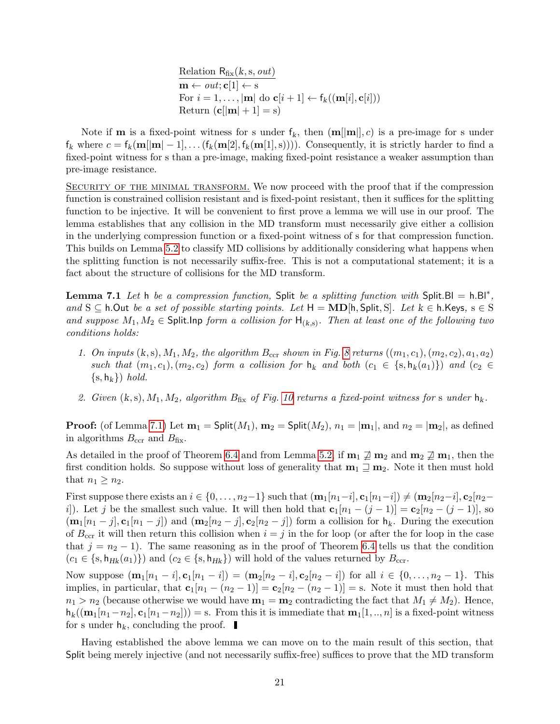Relation  $R_{fix}(k,s,out)$  $\overline{\mathbf{m} \leftarrow out; \mathbf{c}[1] \leftarrow \mathbf{s}}$ For  $i = 1, \ldots, |\mathbf{m}|$  do  $\mathbf{c}[i + 1] \leftarrow f_k((\mathbf{m}[i], \mathbf{c}[i]))$ Return  $(c||m| + 1] = s$ 

Note if **m** is a fixed-point witness for s under  $f_k$ , then  $(m||m||, c)$  is a pre-image for s under  $f_k$  where  $c = f_k(\mathbf{m}||\mathbf{m}|-1], \ldots (f_k(\mathbf{m}[2], f_k(\mathbf{m}[1], s))))$ . Consequently, it is strictly harder to find a fixed-point witness for s than a pre-image, making fixed-point resistance a weaker assumption than pre-image resistance.

SECURITY OF THE MINIMAL TRANSFORM. We now proceed with the proof that if the compression function is constrained collision resistant and is fixed-point resistant, then it suffices for the splitting function to be injective. It will be convenient to first prove a lemma we will use in our proof. The lemma establishes that any collision in the MD transform must necessarily give either a collision in the underlying compression function or a fixed-point witness of s for that compression function. This builds on Lemma [5.2](#page-9-1) to classify MD collisions by additionally considering what happens when the splitting function is not necessarily suffix-free. This is not a computational statement; it is a fact about the structure of collisions for the MD transform.

<span id="page-20-0"></span>**Lemma 7.1** Let h be a compression function, Split be a splitting function with Split. BI =  $h.BI^*$ , and S  $\subseteq$  h.Out be a set of possible starting points. Let H = MD[h, Split, S]. Let  $k \in h$ . Keys,  $s \in S$ and suppose  $M_1, M_2 \in \mathsf{Split}$ . Inp form a collision for  $\mathsf{H}_{(k,s)}$ . Then at least one of the following two conditions holds:

- 1. On inputs  $(k, s), M_1, M_2$ , the algorithm  $B_{\text{ccr}}$  shown in Fig. [8](#page-17-0) returns  $((m_1, c_1), (m_2, c_2), a_1, a_2)$ such that  $(m_1, c_1), (m_2, c_2)$  form a collision for  $h_k$  and both  $(c_1 \in \{s, h_k(a_1)\})$  and  $(c_2 \in$  $\{s, h_k\}$ ) hold.
- 2. Given  $(k, s)$ ,  $M_1, M_2$ , algorithm  $B_{fix}$  of Fig. [10](#page-21-2) returns a fixed-point witness for s under  $h_k$ .

**Proof:** (of Lemma [7.1\)](#page-20-0) Let  $\mathbf{m}_1 = \mathsf{Split}(M_1), \mathbf{m}_2 = \mathsf{Split}(M_2), n_1 = |\mathbf{m}_1|$ , and  $n_2 = |\mathbf{m}_2|$ , as defined in algorithms  $B_{\text{ccr}}$  and  $B_{\text{fix}}$ .

As detailed in the proof of Theorem [6.4](#page-16-0) and from Lemma [5.2,](#page-9-1) if  $\mathbf{m}_1 \not\sqsupseteq \mathbf{m}_2$  and  $\mathbf{m}_2 \not\sqsupseteq \mathbf{m}_1$ , then the first condition holds. So suppose without loss of generality that  $m_1 \supseteq m_2$ . Note it then must hold that  $n_1 \geq n_2$ .

First suppose there exists an  $i \in \{0, \ldots, n_2-1\}$  such that  $(\mathbf{m}_1[n_1-i], \mathbf{c}_1[n_1-i]) \neq (\mathbf{m}_2[n_2-i], \mathbf{c}_2[n_2-i])$ i). Let j be the smallest such value. It will then hold that  $c_1[n_1 - (j-1)] = c_2[n_2 - (j-1)]$ , so  $(\mathbf{m}_1[n_1-j], \mathbf{c}_1[n_1-j])$  and  $(\mathbf{m}_2[n_2-j], \mathbf{c}_2[n_2-j])$  form a collision for  $\mathbf{h}_k$ . During the execution of  $B_{\text{ccr}}$  it will then return this collision when  $i = j$  in the for loop (or after the for loop in the case that  $j = n<sub>2</sub> - 1$ . The same reasoning as in the proof of Theorem [6.4](#page-16-0) tells us that the condition  $(c_1 \in \{s, h_{Hk}(a_1)\})$  and  $(c_2 \in \{s, h_{Hk}\})$  will hold of the values returned by  $B_{\text{ccr}}$ .

Now suppose  $(\mathbf{m}_1[n_1-i], \mathbf{c}_1[n_1-i]) = (\mathbf{m}_2[n_2-i], \mathbf{c}_2[n_2-i])$  for all  $i \in \{0, ..., n_2-1\}$ . This implies, in particular, that  $\mathbf{c}_1[n_1 - (n_2 - 1)] = \mathbf{c}_2[n_2 - (n_2 - 1)] =$  s. Note it must then hold that  $n_1 > n_2$  (because otherwise we would have  $m_1 = m_2$  contradicting the fact that  $M_1 \neq M_2$ ). Hence,  $h_k((\mathbf{m}_1[n_1-n_2], \mathbf{c}_1[n_1-n_2])) = \text{s}$ . From this it is immediate that  $\mathbf{m}_1[1, \dots, n]$  is a fixed-point witness for s under  $h_k$ , concluding the proof.

Having established the above lemma we can move on to the main result of this section, that Split being merely injective (and not necessarily suffix-free) suffices to prove that the MD transform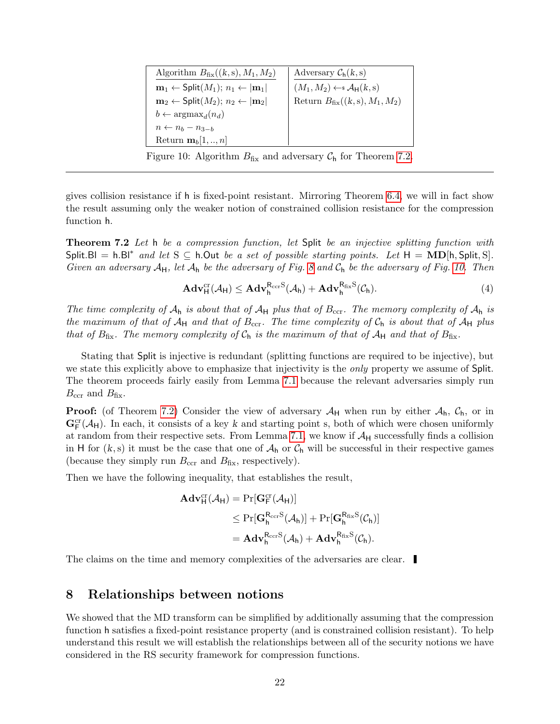| Algorithm $B_{\text{fix}}((k, s), M_1, M_2)$                              | Adversary $C_h(k, s)$                                  |
|---------------------------------------------------------------------------|--------------------------------------------------------|
| $\mathbf{m}_1 \leftarrow$ Split $(M_1)$ ; $n_1 \leftarrow  \mathbf{m}_1 $ | $(M_1, M_2) \leftarrow \mathcal{A}_{\mathsf{H}}(k, s)$ |
| $m_2 \leftarrow$ Split $(M_2)$ ; $n_2 \leftarrow  m_2 $                   | Return $B_{fix}((k, s), M_1, M_2)$                     |
| $b \leftarrow \text{argmax}_d(n_d)$                                       |                                                        |
| $n \leftarrow n_b - n_{3-b}$                                              |                                                        |
| Return $\mathbf{m}_b[1,,n]$                                               |                                                        |

<span id="page-21-2"></span>Figure 10: Algorithm  $B_{fix}$  and adversary  $C_h$  for Theorem [7.2.](#page-21-1)

gives collision resistance if h is fixed-point resistant. Mirroring Theorem [6.4,](#page-16-0) we will in fact show the result assuming only the weaker notion of constrained collision resistance for the compression function h.

<span id="page-21-1"></span>**Theorem 7.2** Let h be a compression function, let Split be an injective splitting function with Split.Bl = h.Bl<sup>\*</sup> and let S  $\subseteq$  h.Out be a set of possible starting points. Let  $H = \text{MD}[\text{h}, \text{Split}, \text{S}]$ . Given an adversary  $A_H$ , let  $A_h$  be the adversary of Fig. [8](#page-17-0) and  $C_h$  be the adversary of Fig. [10.](#page-21-2) Then

$$
\mathbf{Adv}_{\mathsf{H}}^{\mathrm{cr}}(\mathcal{A}_{\mathsf{H}}) \leq \mathbf{Adv}_{\mathsf{h}}^{\mathrm{R}_{\mathrm{ccr}}S}(\mathcal{A}_{\mathsf{h}}) + \mathbf{Adv}_{\mathsf{h}}^{\mathrm{R}_{\mathrm{fix}}S}(\mathcal{C}_{\mathsf{h}}).
$$
\n
$$
\tag{4}
$$

The time complexity of  $A_h$  is about that of  $A_H$  plus that of  $B_{\rm ccr}$ . The memory complexity of  $A_h$  is the maximum of that of  $A_H$  and that of  $B_{\text{ccr}}$ . The time complexity of  $C_h$  is about that of  $A_H$  plus that of  $B_{\text{fix}}$ . The memory complexity of  $C_h$  is the maximum of that of  $A_H$  and that of  $B_{\text{fix}}$ .

Stating that Split is injective is redundant (splitting functions are required to be injective), but we state this explicitly above to emphasize that injectivity is the *only* property we assume of Split. The theorem proceeds fairly easily from Lemma [7.1](#page-20-0) because the relevant adversaries simply run  $B_{\text{ccr}}$  and  $B_{\text{fix}}$ .

**Proof:** (of Theorem [7.2\)](#page-21-1) Consider the view of adversary  $A_H$  when run by either  $A_h$ ,  $C_h$ , or in  $\mathbf{G}_{\mathsf{F}}^{\text{cr}}(\mathcal{A}_{\mathsf{H}})$ . In each, it consists of a key k and starting point s, both of which were chosen uniformly at random from their respective sets. From Lemma [7.1,](#page-20-0) we know if  $A_H$  successfully finds a collision in H for  $(k, s)$  it must be the case that one of  $\mathcal{A}_h$  or  $\mathcal{C}_h$  will be successful in their respective games (because they simply run  $B_{\text{ccr}}$  and  $B_{\text{fix}}$ , respectively).

Then we have the following inequality, that establishes the result,

$$
\begin{aligned} \mathbf{Adv}^{\mathrm{cr}}_H(\mathcal{A}_H) &= \Pr[\mathbf{G}^{\mathrm{cr}}_F(\mathcal{A}_H)] \\ &\leq \Pr[\mathbf{G}^{R_{\mathrm{cer}}S}_h(\mathcal{A}_h)] + \Pr[\mathbf{G}^{R_{\mathrm{fix}}S}_h(\mathcal{C}_h)] \\ &= \mathbf{Adv}^{R_{\mathrm{cer}}S}_h(\mathcal{A}_h) + \mathbf{Adv}^{R_{\mathrm{fix}}S}_h(\mathcal{C}_h). \end{aligned}
$$

The claims on the time and memory complexities of the adversaries are clear.

#### <span id="page-21-0"></span>8 Relationships between notions

We showed that the MD transform can be simplified by additionally assuming that the compression function h satisfies a fixed-point resistance property (and is constrained collision resistant). To help understand this result we will establish the relationships between all of the security notions we have considered in the RS security framework for compression functions.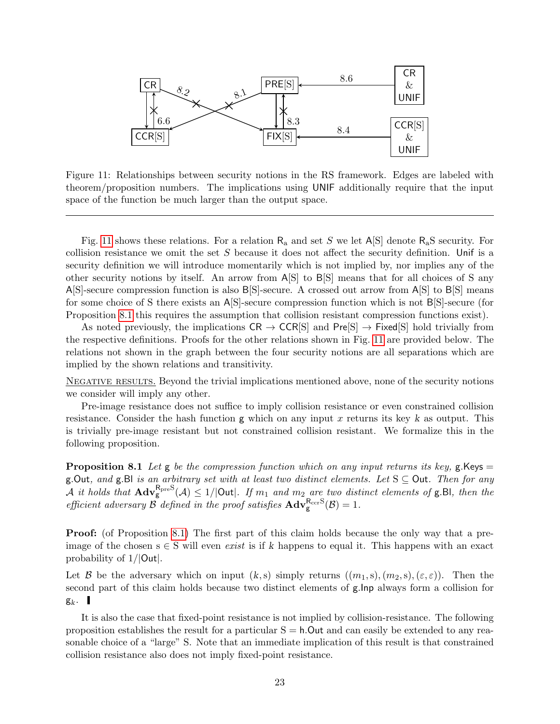

<span id="page-22-0"></span>Figure 11: Relationships between security notions in the RS framework. Edges are labeled with theorem/proposition numbers. The implications using UNIF additionally require that the input space of the function be much larger than the output space.

Fig. [11](#page-22-0) shows these relations. For a relation  $R_a$  and set S we let  $A[S]$  denote  $R_aS$  security. For collision resistance we omit the set  $S$  because it does not affect the security definition. Unif is a security definition we will introduce momentarily which is not implied by, nor implies any of the other security notions by itself. An arrow from A[S] to B[S] means that for all choices of S any A[S]-secure compression function is also B[S]-secure. A crossed out arrow from A[S] to B[S] means for some choice of S there exists an A[S]-secure compression function which is not B[S]-secure (for Proposition [8.1](#page-22-1) this requires the assumption that collision resistant compression functions exist).

As noted previously, the implications  $CR \to CCR[S]$  and  $Pre[S] \to Fixed[S]$  hold trivially from the respective definitions. Proofs for the other relations shown in Fig. [11](#page-22-0) are provided below. The relations not shown in the graph between the four security notions are all separations which are implied by the shown relations and transitivity.

NEGATIVE RESULTS. Beyond the trivial implications mentioned above, none of the security notions we consider will imply any other.

Pre-image resistance does not suffice to imply collision resistance or even constrained collision resistance. Consider the hash function  $g$  which on any input x returns its key k as output. This is trivially pre-image resistant but not constrained collision resistant. We formalize this in the following proposition.

<span id="page-22-1"></span>**Proposition 8.1** Let g be the compression function which on any input returns its key, g. Keys  $=$ g.Out, and g.Bl is an arbitrary set with at least two distinct elements. Let  $S \subseteq$  Out. Then for any A it holds that  $\text{Adv}_{g}^{\text{BpreS}}(\mathcal{A}) \leq 1/|\text{Out}|$ . If  $m_1$  and  $m_2$  are two distinct elements of g.Bl, then the efficient adversary  $\beta$  defined in the proof satisfies  $\mathbf{Adv}_{g}^{\mathsf{R_{ccr}S}}(\beta) = 1$ .

**Proof:** (of Proposition [8.1\)](#page-22-1) The first part of this claim holds because the only way that a preimage of the chosen  $s \in S$  will even *exist* is if k happens to equal it. This happens with an exact probability of 1/|Out|.

Let B be the adversary which on input  $(k, s)$  simply returns  $((m_1, s), (m_2, s), (\varepsilon, \varepsilon))$ . Then the second part of this claim holds because two distinct elements of g.Inp always form a collision for  $g_k$ .

<span id="page-22-2"></span>It is also the case that fixed-point resistance is not implied by collision-resistance. The following proposition establishes the result for a particular  $S = h$ . Out and can easily be extended to any reasonable choice of a "large" S. Note that an immediate implication of this result is that constrained collision resistance also does not imply fixed-point resistance.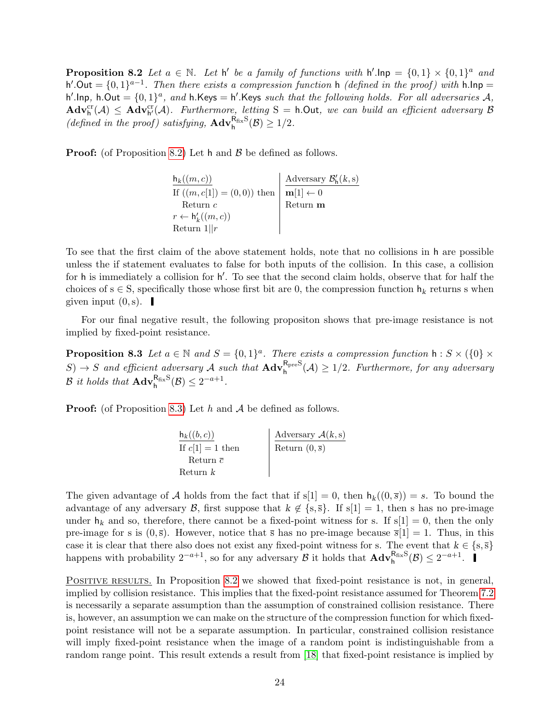<span id="page-23-1"></span>**Proposition 8.2** Let  $a \in \mathbb{N}$ . Let  $h'$  be a family of functions with  $h'.\textsf{inp} = \{0,1\} \times \{0,1\}^a$  and h'.Out =  $\{0,1\}^{a-1}$ . Then there exists a compression function h (defined in the proof) with h.lnp = h'.lnp, h.Out =  $\{0,1\}^a$ , and h.Keys = h'.Keys such that the following holds. For all adversaries A,  $\mathbf{Adv}_{h}^{cr}(\mathcal{A}) \leq \mathbf{Adv}_{h'}^{cr}(\mathcal{A})$ . Furthermore, letting  $S = h$ . Out, we can build an efficient adversary  $\mathcal{B}$ (defined in the proof) satisfying,  $\mathbf{Adv}_{h}^{\mathsf{R}_{fix}\mathsf{S}}(\mathcal{B}) \geq 1/2$ .

**Proof:** (of Proposition [8.2\)](#page-22-2) Let h and  $\beta$  be defined as follows.

 $\mathsf{h}_k((m, c))$ If  $((m, c[1]) = (0, 0))$  then Return c  $r \leftarrow \mathsf{h}'_k((m,c))$ Return  $1||r$ Adversary  $\mathcal{B}'_h(k,s)$  $\mathbf{m}[1] \gets 0$ Return m

To see that the first claim of the above statement holds, note that no collisions in h are possible unless the if statement evaluates to false for both inputs of the collision. In this case, a collision for h is immediately a collision for h'. To see that the second claim holds, observe that for half the choices of s  $\in$  S, specifically those whose first bit are 0, the compression function  $h_k$  returns s when given input  $(0, s)$ .

For our final negative result, the following propositon shows that pre-image resistance is not implied by fixed-point resistance.

**Proposition 8.3** Let  $a \in \mathbb{N}$  and  $S = \{0,1\}^a$ . There exists a compression function  $h : S \times \{0\} \times$  $S \to S$  and efficient adversary A such that  $\text{Adv}_{h}^{\text{RpreS}}(A) \geq 1/2$ . Furthermore, for any adversary  $\mathcal B$  it holds that  $\mathbf{Adv}_{h}^{\mathsf{R}_{fix}S}(\mathcal B) \leq 2^{-a+1}$ .

**Proof:** (of Proposition [8.3\)](#page-23-0) Let h and  $A$  be defined as follows.

<span id="page-23-0"></span>

| $h_k((b,c))$       | Adversary $A(k, s)$       |
|--------------------|---------------------------|
| If $c[1] = 1$ then | Return $(0,\overline{s})$ |
| Return $\bar{c}$   |                           |
| Return k           |                           |

The given advantage of A holds from the fact that if  $s[1] = 0$ , then  $h_k((0, \bar{s})) = s$ . To bound the advantage of any adversary B, first suppose that  $k \notin \{s, \overline{s}\}.$  If  $s[1] = 1$ , then s has no pre-image under  $h_k$  and so, therefore, there cannot be a fixed-point witness for s. If  $s[1] = 0$ , then the only pre-image for s is  $(0,\bar{s})$ . However, notice that  $\bar{s}$  has no pre-image because  $\bar{s}[1] = 1$ . Thus, in this case it is clear that there also does not exist any fixed-point witness for s. The event that  $k \in \{s, \overline{s}\}\$ happens with probability  $2^{-a+1}$ , so for any adversary  $\mathcal B$  it holds that  $\mathbf{Adv}_{h}^{\mathsf{R}_{fix}}(\mathcal B) \leq 2^{-a+1}$ .

POSITIVE RESULTS. In Proposition [8.2](#page-22-2) we showed that fixed-point resistance is not, in general, implied by collision resistance. This implies that the fixed-point resistance assumed for Theorem [7.2](#page-21-1) is necessarily a separate assumption than the assumption of constrained collision resistance. There is, however, an assumption we can make on the structure of the compression function for which fixedpoint resistance will not be a separate assumption. In particular, constrained collision resistance will imply fixed-point resistance when the image of a random point is indistinguishable from a random range point. This result extends a result from [\[18\]](#page-32-5) that fixed-point resistance is implied by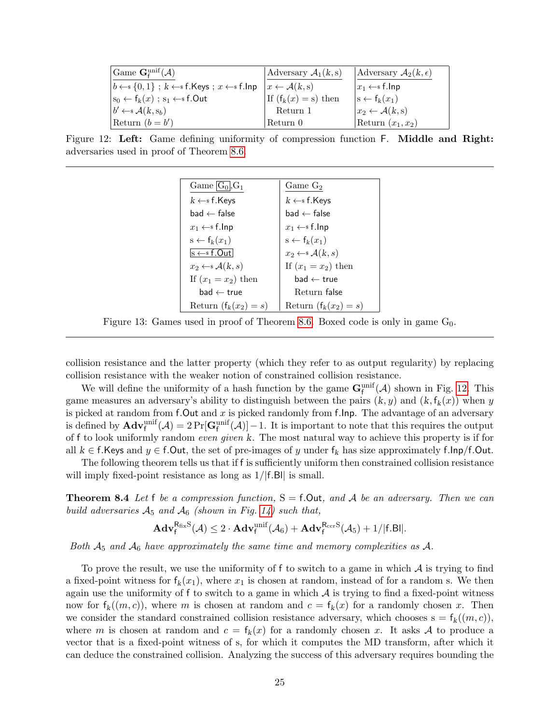| Game $\mathbf{G}^{\text{unif}}_{\mathbf{f}}(\mathcal{A})$                                | Adversary $\mathcal{A}_1(k,s)$   | Adversary $A_2(k,\epsilon)$        |
|------------------------------------------------------------------------------------------|----------------------------------|------------------------------------|
| $\vert b \leftarrow \{0,1\}$ ; $k \leftarrow \{5\}$ f. Keys; $x \leftarrow \{5\}$ f. Inp | $x \leftarrow \mathcal{A}(k, s)$ | $x_1 \leftarrow s$ f.lnp           |
| $ s_0 \leftarrow f_k(x)$ ; $s_1 \leftarrow s$ f.Out                                      | If $(f_k(x) = s)$ then           | $ s \leftarrow f_k(x_1) $          |
| $b' \leftarrow \mathcal{A}(k, s_b)$                                                      | Return 1                         | $x_2 \leftarrow \mathcal{A}(k, s)$ |
| Return $(b = b')$                                                                        | Return 0                         | Return $(x_1, x_2)$                |

<span id="page-24-0"></span>Figure 12: Left: Game defining uniformity of compression function F. Middle and Right: adversaries used in proof of Theorem [8.6.](#page-27-0)

| Game $ G_0 $ , $G_1$                                           | Game $G_2$                         |
|----------------------------------------------------------------|------------------------------------|
| $k \leftarrow s$ f.Keys                                        | $k \leftarrow s$ f. Keys           |
| $bad \leftarrow false$                                         | $bad \leftarrow false$             |
| $x_1 \leftarrow s$ f.lnp                                       | $x_1 \leftarrow s$ f.lnp           |
| $s \leftarrow f_k(x_1)$                                        | $s \leftarrow f_k(x_1)$            |
| $\vert_{\text{S}} \leftarrow \_\text{s} \text{f}$ .Out $\vert$ | $x_2 \leftarrow \mathcal{A}(k, s)$ |
| $x_2 \leftarrow \in \mathcal{A}(k,s)$                          | If $(x_1 = x_2)$ then              |
| If $(x_1 = x_2)$ then                                          | $bad \leftarrow true$              |
| $bad \leftarrow true$                                          | Return false                       |
| Return $(f_k(x_2) = s)$                                        | Return $(f_k(x_2) = s)$            |

Figure 13: Games used in proof of Theorem [8.6.](#page-27-0) Boxed code is only in game  $G_0$ .

collision resistance and the latter property (which they refer to as output regularity) by replacing collision resistance with the weaker notion of constrained collision resistance.

We will define the uniformity of a hash function by the game  $\mathbf{G}_{f}^{\text{unif}}(\mathcal{A})$  shown in Fig. [12.](#page-24-0) This game measures an adversary's ability to distinguish between the pairs  $(k, y)$  and  $(k, f_k(x))$  when y is picked at random from f. Out and  $x$  is picked randomly from f. Inp. The advantage of an adversary is defined by  $\mathbf{Adv}_{f}^{\text{unif}}(\mathcal{A})=2\Pr[\mathbf{G}_{f}^{\text{unif}}(\mathcal{A})]-1$ . It is important to note that this requires the output of f to look uniformly random even given k. The most natural way to achieve this property is if for all  $k \in \mathsf{f}$ .Keys and  $y \in \mathsf{f}$ .Out, the set of pre-images of y under  $f_k$  has size approximately f.lnp/f.Out.

The following theorem tells us that if f is sufficiently uniform then constrained collision resistance will imply fixed-point resistance as long as  $1/|f.B||$  is small.

**Theorem 8.4** Let f be a compression function,  $S = f$ . Out, and A be an adversary. Then we can build adversaries  $A_5$  and  $A_6$  (shown in Fig. [14\)](#page-25-0) such that,

<span id="page-24-1"></span>
$$
\mathbf{Adv}^{R_{fix}S}_f(\mathcal{A}) \leq 2\cdot \mathbf{Adv}^{unif}_f(\mathcal{A}_6) + \mathbf{Adv}^{R_{ccr}S}_f(\mathcal{A}_5) + 1/|f.B||.
$$

Both  $A_5$  and  $A_6$  have approximately the same time and memory complexities as A.

To prove the result, we use the uniformity of f to switch to a game in which  $\mathcal A$  is trying to find a fixed-point witness for  $f_k(x_1)$ , where  $x_1$  is chosen at random, instead of for a random s. We then again use the uniformity of f to switch to a game in which  $A$  is trying to find a fixed-point witness now for  $f_k((m, c))$ , where m is chosen at random and  $c = f_k(x)$  for a randomly chosen x. Then we consider the standard constrained collision resistance adversary, which chooses  $s = f_k((m, c))$ , where m is chosen at random and  $c = f_k(x)$  for a randomly chosen x. It asks A to produce a vector that is a fixed-point witness of s, for which it computes the MD transform, after which it can deduce the constrained collision. Analyzing the success of this adversary requires bounding the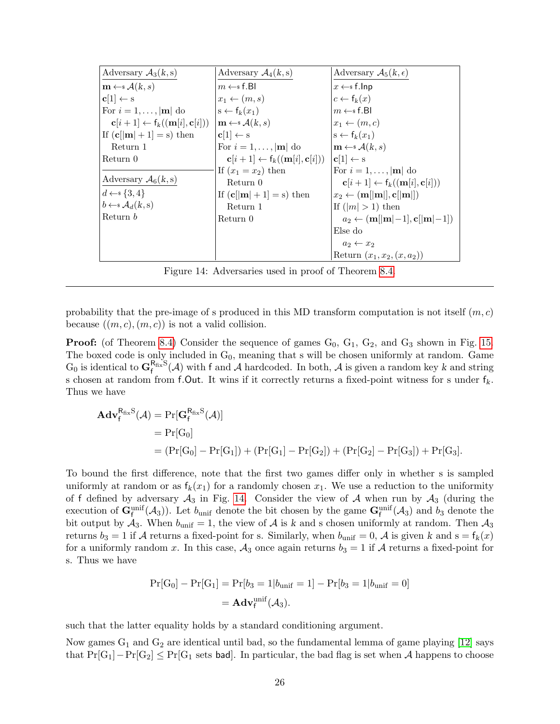<span id="page-25-1"></span>

| Adversary $A_3(k, s)$                                            | Adversary $\mathcal{A}_4(k, s)$                                  | Adversary $A_5(k,\epsilon)$                                               |
|------------------------------------------------------------------|------------------------------------------------------------------|---------------------------------------------------------------------------|
| $\mathbf{m} \leftarrow \mathcal{A}(k, s)$                        | $m \leftarrow s$ f.BI                                            | $x \leftarrow s$ f.lnp                                                    |
| $c[1] \leftarrow s$                                              | $x_1 \leftarrow (m, s)$                                          | $c \leftarrow f_k(x)$                                                     |
| For $i = 1, \ldots,  \mathbf{m} $ do                             | $s \leftarrow f_k(x_1)$                                          | $m \leftarrow s$ f.Bl                                                     |
| $\mathbf{c}[i+1] \leftarrow f_k((\mathbf{m}[i], \mathbf{c}[i]))$ | $\mathbf{m} \leftarrow \mathcal{A}(k, s)$                        | $x_1 \leftarrow (m, c)$                                                   |
| If $(c[m] + 1] = s)$ then                                        | $ {\bf c}[1] \leftarrow {\rm s}$                                 | $s \leftarrow f_k(x_1)$                                                   |
| Return 1                                                         | For $i = 1, \ldots,  \mathbf{m} $ do                             | $\vert \mathbf{m} \leftarrow \mathbf{s} \mathcal{A}(k,s)$                 |
| Return 0                                                         | $\mathbf{c}[i+1] \leftarrow f_k((\mathbf{m}[i], \mathbf{c}[i]))$ | $ {\bf c}[1] \leftarrow {\rm s}$                                          |
|                                                                  | If $(x_1 = x_2)$ then                                            | For $i = 1, \ldots,  \mathbf{m} $ do                                      |
| Adversary $A_6(k, s)$                                            | Return 0                                                         | $\mathbf{c}[i+1] \leftarrow \mathbf{f}_k((\mathbf{m}[i], \mathbf{c}[i]))$ |
| $d \leftarrow \{3, 4\}$                                          | If $(c  m  + 1] = s$ then                                        | $x_2 \leftarrow (\textbf{m}[[\textbf{m}]], \textbf{c}[[\textbf{m}]])$     |
| $b \leftarrow^* \mathcal{A}_d(k,s)$                              | Return 1                                                         | If $( m  > 1)$ then                                                       |
| Return b                                                         | Return 0                                                         | $a_2 \leftarrow (m[ m -1], c[ m -1])$                                     |
|                                                                  |                                                                  | Else do                                                                   |
|                                                                  |                                                                  | $a_2 \leftarrow x_2$                                                      |
|                                                                  |                                                                  | Return $(x_1, x_2, (x, a_2))$                                             |

<span id="page-25-0"></span>Figure 14: Adversaries used in proof of Theorem [8.4.](#page-24-1)

probability that the pre-image of s produced in this MD transform computation is not itself  $(m, c)$ because  $((m, c), (m, c))$  is not a valid collision.

**Proof:** (of Theorem [8.4\)](#page-24-1) Consider the sequence of games  $G_0$ ,  $G_1$ ,  $G_2$ , and  $G_3$  shown in Fig. [15.](#page-27-1) The boxed code is only included in  $G_0$ , meaning that s will be chosen uniformly at random. Game  $G_0$  is identical to  $\mathbf{G}^{R_{fix}S}_{\mathsf{f}}(\mathcal{A})$  with f and  $\mathcal{A}$  hardcoded. In both,  $\mathcal{A}$  is given a random key k and string s chosen at random from f.Out. It wins if it correctly returns a fixed-point witness for s under  $f_k$ . Thus we have

$$
\begin{aligned} \mathbf{Adv}_{\mathbf{f}}^{\mathsf{R}_{fix}\mathsf{S}}(\mathcal{A}) &= \Pr[\mathbf{G}_{\mathbf{f}}^{\mathsf{R}_{fix}\mathsf{S}}(\mathcal{A})] \\ &= \Pr[\mathrm{G}_{0}] \\ &= (\Pr[\mathrm{G}_{0}] - \Pr[\mathrm{G}_{1}]) + (\Pr[\mathrm{G}_{1}] - \Pr[\mathrm{G}_{2}]) + (\Pr[\mathrm{G}_{2}] - \Pr[\mathrm{G}_{3}]) + \Pr[\mathrm{G}_{3}]. \end{aligned}
$$

To bound the first difference, note that the first two games differ only in whether s is sampled uniformly at random or as  $f_k(x_1)$  for a randomly chosen  $x_1$ . We use a reduction to the uniformity of f defined by adversary  $A_3$  in Fig. [14.](#page-25-0) Consider the view of A when run by  $A_3$  (during the execution of  $\mathbf{G}_{f}^{\text{unif}}(A_3)$ . Let  $b_{\text{unif}}$  denote the bit chosen by the game  $\mathbf{G}_{f}^{\text{unif}}(A_3)$  and  $b_3$  denote the bit output by  $A_3$ . When  $b_{\text{unif}} = 1$ , the view of A is k and s chosen uniformly at random. Then  $A_3$ returns  $b_3 = 1$  if A returns a fixed-point for s. Similarly, when  $b_{\text{unif}} = 0$ , A is given k and  $s = f_k(x)$ for a uniformly random x. In this case,  $A_3$  once again returns  $b_3 = 1$  if A returns a fixed-point for s. Thus we have

$$
Pr[G_0] - Pr[G_1] = Pr[b_3 = 1|b_{\text{unif}} = 1] - Pr[b_3 = 1|b_{\text{unif}} = 0]
$$

$$
= \mathbf{Adv}_{f}^{\text{unif}}(\mathcal{A}_3).
$$

such that the latter equality holds by a standard conditioning argument.

Now games  $G_1$  and  $G_2$  are identical until bad, so the fundamental lemma of game playing [\[12\]](#page-31-12) says that  $Pr[G_1]-Pr[G_2] \leq Pr[G_1]$  sets bad. In particular, the bad flag is set when A happens to choose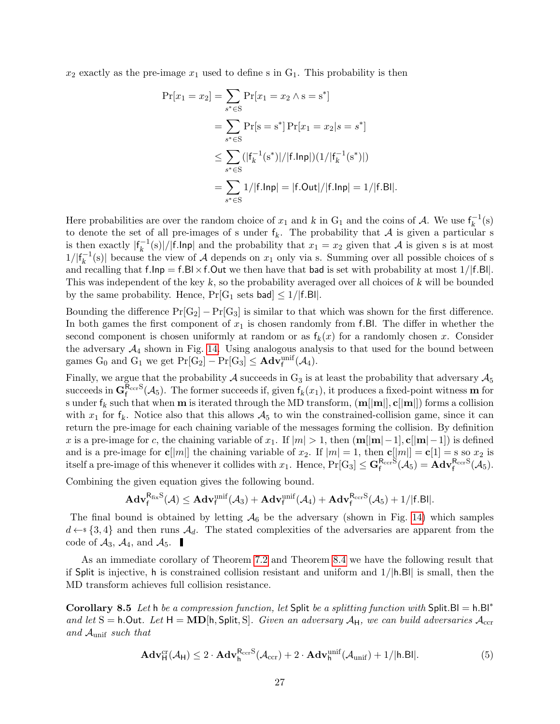$x_2$  exactly as the pre-image  $x_1$  used to define s in  $G_1$ . This probability is then

$$
\Pr[x_1 = x_2] = \sum_{s^* \in S} \Pr[x_1 = x_2 \land s = s^*]
$$
  
= 
$$
\sum_{s^* \in S} \Pr[s = s^*] \Pr[x_1 = x_2 | s = s^*]
$$
  

$$
\leq \sum_{s^* \in S} (|f_k^{-1}(s^*)|/|f \cdot \ln p|)(1/|f_k^{-1}(s^*)|)
$$
  
= 
$$
\sum_{s^* \in S} 1/|f \cdot \ln p| = |f \cdot Out|/|f \cdot \ln p| = 1/|f \cdot Bl|.
$$

Here probabilities are over the random choice of  $x_1$  and k in  $G_1$  and the coins of A. We use  $f_k^{-1}$  $k^{-1}(s)$ to denote the set of all pre-images of s under  $f_k$ . The probability that A is given a particular s is then exactly  $|f_k^{-1}|$  $\binom{n-1}{k}$  |/|f.lnp| and the probability that  $x_1 = x_2$  given that A is given s is at most  $1/|f_k^{-1}|$  $\binom{r-1}{k}$  because the view of A depends on  $x_1$  only via s. Summing over all possible choices of s and recalling that  $f(\text{lnp}) = f(\text{Bl} \times f)$ . Out we then have that bad is set with probability at most  $1/|f(\text{Bl})|$ . This was independent of the key k, so the probability averaged over all choices of k will be bounded by the same probability. Hence,  $Pr[G_1 \text{ sets } \text{bad}] \leq 1/|f.B||$ .

Bounding the difference  $Pr[G_2] - Pr[G_3]$  is similar to that which was shown for the first difference. In both games the first component of  $x_1$  is chosen randomly from f.Bl. The differ in whether the second component is chosen uniformly at random or as  $f_k(x)$  for a randomly chosen x. Consider the adversary  $A_4$  shown in Fig. [14.](#page-25-0) Using analogous analysis to that used for the bound between games  $G_0$  and  $G_1$  we get  $Pr[G_2] - Pr[G_3] \leq \mathbf{Adv}_{f}^{\text{unif}}(\mathcal{A}_4)$ .

Finally, we argue that the probability A succeeds in  $G_3$  is at least the probability that adversary  $\mathcal{A}_5$ succeeds in  $G_f^{\text{R}_{\text{cer}}S}(\mathcal{A}_5)$ . The former succeeds if, given  $f_k(x_1)$ , it produces a fixed-point witness **m** for s under  $f_k$  such that when **m** is iterated through the MD transform,  $(m||m||, c||m||)$  forms a collision with  $x_1$  for  $f_k$ . Notice also that this allows  $A_5$  to win the constrained-collision game, since it can return the pre-image for each chaining variable of the messages forming the collision. By definition x is a pre-image for c, the chaining variable of x<sub>1</sub>. If  $|m| > 1$ , then  $(m||m|-1]$ , c $[|m|-1]$ ) is defined and is a pre-image for  $c[|m|]$  the chaining variable of  $x_2$ . If  $|m| = 1$ , then  $c[|m|] = c[1] = s$  so  $x_2$  is itself a pre-image of this whenever it collides with  $x_1$ . Hence,  $Pr[G_3] \leq G_f^{R_{\text{ccr}}S}(\mathcal{A}_5) = \mathbf{Adv}_f^{R_{\text{ccr}}S}(\mathcal{A}_5)$ .

Combining the given equation gives the following bound.

$$
\mathbf{Adv}_{f}^{\mathsf{R}_{fix}S}(\mathcal{A}) \leq \mathbf{Adv}_{f}^{\text{unif}}(\mathcal{A}_{3}) + \mathbf{Adv}_{f}^{\text{unif}}(\mathcal{A}_{4}) + \mathbf{Adv}_{f}^{\mathsf{R}_{\text{ccr}}S}(\mathcal{A}_{5}) + 1/|f.B||.
$$

The final bound is obtained by letting  $A_6$  be the adversary (shown in Fig. [14\)](#page-25-0) which samples  $d \leftarrow$  {3,4} and then runs  $\mathcal{A}_d$ . The stated complexities of the adversaries are apparent from the code of  $A_3$ ,  $A_4$ , and  $A_5$ .

As an immediate corollary of Theorem [7.2](#page-21-1) and Theorem [8.4](#page-24-1) we have the following result that if Split is injective, h is constrained collision resistant and uniform and  $1/|h.B|$  is small, then the MD transform achieves full collision resistance.

Corollary 8.5 Let h be a compression function, let Split be a splitting function with Split.Bl = h.Bl<sup>\*</sup> and let S = h.Out. Let  $H = MD[h, Split, S]$ . Given an adversary  $A_H$ , we can build adversaries  $A_{\text{ccr}}$ and  $\mathcal{A}_{\text{unif}}$  such that

$$
\mathbf{Adv}_{\mathsf{H}}^{\mathrm{cr}}(\mathcal{A}_{\mathsf{H}}) \leq 2 \cdot \mathbf{Adv}_{\mathsf{h}}^{\mathrm{R}_{\mathrm{ccr}}S}(\mathcal{A}_{\mathrm{ccr}}) + 2 \cdot \mathbf{Adv}_{\mathsf{h}}^{\mathrm{unif}}(\mathcal{A}_{\mathrm{unif}}) + 1/|\mathsf{h}.\mathsf{Bl}|. \tag{5}
$$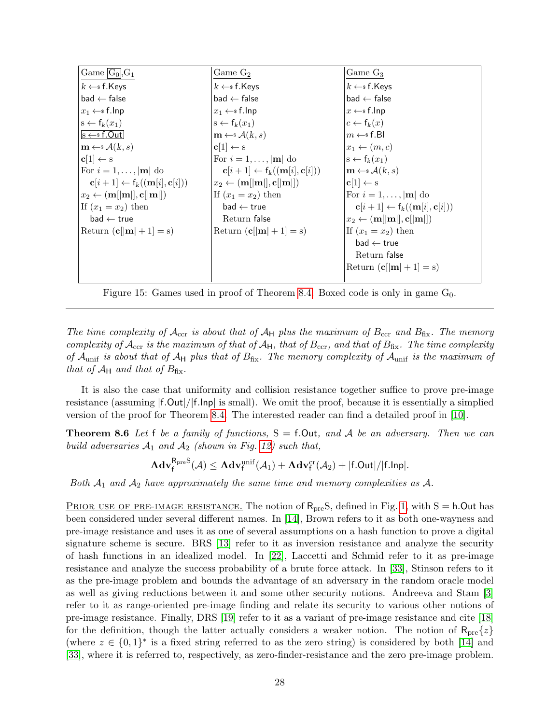<span id="page-27-2"></span>

| $ Game G_0 $ , $G_1$                                             | Game $G_2$                                                            | Game $G_3$                                                            |
|------------------------------------------------------------------|-----------------------------------------------------------------------|-----------------------------------------------------------------------|
| $k \leftarrow s$ f.Keys                                          | $k \leftarrow s$ f. Keys                                              | $k \leftarrow s$ f. Keys                                              |
| $ $ bad $\leftarrow$ false                                       | $bad \leftarrow false$                                                | $bad \leftarrow false$                                                |
| $x_1 \leftarrow s$ f.lnp                                         | $x_1 \leftarrow s$ f.lnp                                              | $x \leftarrow s$ f.lnp                                                |
| $ s \leftarrow f_k(x_1)$                                         | $s \leftarrow f_k(x_1)$                                               | $c \leftarrow f_k(x)$                                                 |
| $\vert$ s $\leftarrow$ s f.Out                                   | $\mathbf{m} \leftarrow \mathcal{A}(k, s)$                             | $m \leftarrow s$ f.Bl                                                 |
| $\mathbf{m} \leftarrow \mathcal{A}(k,s)$                         | $c[1] \leftarrow s$                                                   | $x_1 \leftarrow (m, c)$                                               |
| $ {\bf c}[1] \leftarrow {\rm s}$                                 | For $i = 1, \ldots,  \mathbf{m} $ do                                  | $s \leftarrow f_k(x_1)$                                               |
| For $i = 1, \ldots,  \mathbf{m} $ do                             | $\mathbf{c}[i+1] \leftarrow f_k((\mathbf{m}[i], \mathbf{c}[i]))$      | $\mathbf{m} \leftarrow \mathcal{A}(k, s)$                             |
| $\mathbf{c}[i+1] \leftarrow f_k((\mathbf{m}[i], \mathbf{c}[i]))$ | $x_2 \leftarrow (\textbf{m}[[\textbf{m}]], \textbf{c}[[\textbf{m}]])$ | $ {\bf c}[1] \leftarrow {\rm s}$                                      |
| $ x_2 \leftarrow (m[ m ], c[ m ])$                               | If $(x_1 = x_2)$ then                                                 | For $i = 1, \ldots,  \mathbf{m} $ do                                  |
| If $(x_1 = x_2)$ then                                            | $bad \leftarrow true$                                                 | $\mathbf{c}[i+1] \leftarrow f_k((\mathbf{m}[i], \mathbf{c}[i]))$      |
| $bad \leftarrow true$                                            | Return false                                                          | $x_2 \leftarrow (\textbf{m}[[\textbf{m}]], \textbf{c}[[\textbf{m}]])$ |
| Return $(c  \mathbf{m}  + 1) = s$                                | Return $(c  m  + 1] = s$                                              | If $(x_1 = x_2)$ then                                                 |
|                                                                  |                                                                       | $bad \leftarrow true$                                                 |
|                                                                  |                                                                       | Return false                                                          |
|                                                                  |                                                                       | Return $(c[m] + 1] = s)$                                              |
|                                                                  |                                                                       |                                                                       |

<span id="page-27-1"></span>Figure 15: Games used in proof of Theorem [8.4.](#page-24-1) Boxed code is only in game  $G_0$ .

The time complexity of  $\mathcal{A}_{\text{ccr}}$  is about that of  $\mathcal{A}_{\text{H}}$  plus the maximum of  $B_{\text{ccr}}$  and  $B_{\text{fix}}$ . The memory complexity of  $\mathcal{A}_{\text{ccr}}$  is the maximum of that of  $\mathcal{A}_{H}$ , that of  $B_{\text{ccr}}$ , and that of  $B_{\text{fix}}$ . The time complexity of  $\mathcal{A}_{\text{unif}}$  is about that of  $\mathcal{A}_{\text{H}}$  plus that of  $B_{\text{fix}}$ . The memory complexity of  $\mathcal{A}_{\text{unif}}$  is the maximum of that of  $A_H$  and that of  $B_{fix}$ .

It is also the case that uniformity and collision resistance together suffice to prove pre-image resistance (assuming |f.Out|/|f.Inp| is small). We omit the proof, because it is essentially a simplied version of the proof for Theorem [8.4.](#page-24-1) The interested reader can find a detailed proof in [\[10\]](#page-31-4).

**Theorem 8.6** Let f be a family of functions,  $S = f$ . Out, and A be an adversary. Then we can build adversaries  $A_1$  and  $A_2$  (shown in Fig. [12\)](#page-24-0) such that,

<span id="page-27-0"></span>
$$
\mathbf{Adv}^{\mathsf{R}_{\operatorname{pre}}\operatorname{S}}_f(\mathcal{A})\leq \mathbf{Adv}^{\operatorname{unif}}_f(\mathcal{A}_1)+\mathbf{Adv}^{\operatorname{cr}}_f(\mathcal{A}_2)+|f.\mathsf{Out}|/|f.\mathsf{Inp}|.
$$

Both  $A_1$  and  $A_2$  have approximately the same time and memory complexities as A.

<u>PRIOR USE OF PRE-IMAGE RESISTANCE.</u> The notion of  $R_{pre}S$ , defined in Fig. [1,](#page-6-1) with  $S = h$ . Out has been considered under several different names. In [\[14\]](#page-31-14), Brown refers to it as both one-wayness and pre-image resistance and uses it as one of several assumptions on a hash function to prove a digital signature scheme is secure. BRS [\[13\]](#page-31-15) refer to it as inversion resistance and analyze the security of hash functions in an idealized model. In [\[22\]](#page-32-16), Laccetti and Schmid refer to it as pre-image resistance and analyze the success probability of a brute force attack. In [\[33\]](#page-32-17), Stinson refers to it as the pre-image problem and bounds the advantage of an adversary in the random oracle model as well as giving reductions between it and some other security notions. Andreeva and Stam [\[3\]](#page-31-16) refer to it as range-oriented pre-image finding and relate its security to various other notions of pre-image resistance. Finally, DRS [\[19\]](#page-32-6) refer to it as a variant of pre-image resistance and cite [\[18\]](#page-32-5) for the definition, though the latter actually considers a weaker notion. The notion of  $R_{pre}\{z\}$ (where  $z \in \{0,1\}^*$  is a fixed string referred to as the zero string) is considered by both [\[14\]](#page-31-14) and [\[33\]](#page-32-17), where it is referred to, respectively, as zero-finder-resistance and the zero pre-image problem.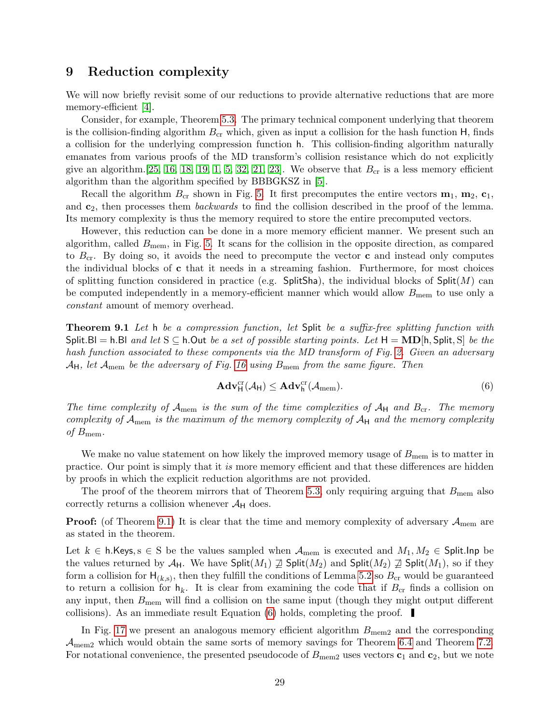#### <span id="page-28-3"></span><span id="page-28-0"></span>9 Reduction complexity

We will now briefly revisit some of our reductions to provide alternative reductions that are more memory-efficient [\[4\]](#page-31-5).

Consider, for example, Theorem [5.3.](#page-9-0) The primary technical component underlying that theorem is the collision-finding algorithm  $B_{cr}$  which, given as input a collision for the hash function H, finds a collision for the underlying compression function h. This collision-finding algorithm naturally emanates from various proofs of the MD transform's collision resistance which do not explicitly give an algorithm. [\[25,](#page-32-0) [16,](#page-31-0) [18,](#page-32-5) [19,](#page-32-6) [1,](#page-31-2) [5,](#page-31-3) [32,](#page-32-10) [21,](#page-32-9) [23\]](#page-32-8). We observe that  $B_{\rm cr}$  is a less memory efficient algorithm than the algorithm specified by BBBGKSZ in [\[5\]](#page-31-3).

Recall the algorithm  $B_{cr}$  shown in Fig. [5.](#page-10-0) It first precomputes the entire vectors  $\mathbf{m}_1$ ,  $\mathbf{m}_2$ ,  $\mathbf{c}_1$ , and  $c_2$ , then processes them *backwards* to find the collision described in the proof of the lemma. Its memory complexity is thus the memory required to store the entire precomputed vectors.

However, this reduction can be done in a more memory efficient manner. We present such an algorithm, called  $B_{\text{mem}}$ , in Fig. [5.](#page-10-0) It scans for the collision in the opposite direction, as compared to  $B_{cr}$ . By doing so, it avoids the need to precompute the vector **c** and instead only computes the individual blocks of  $c$  that it needs in a streaming fashion. Furthermore, for most choices of splitting function considered in practice (e.g. SplitSha), the individual blocks of  $\text{Split}(M)$  can be computed independently in a memory-efficient manner which would allow  $B_{\text{mem}}$  to use only a constant amount of memory overhead.

<span id="page-28-1"></span>Theorem 9.1 Let h be a compression function, let Split be a suffix-free splitting function with Split.Bl = h.Bl and let  $S \subseteq h$ .Out be a set of possible starting points. Let  $H = \textbf{MD}[h, \text{Split}, S]$  be the hash function associated to these components via the MD transform of Fig. [2.](#page-7-1) Given an adversary  $\mathcal{A}_{\mathsf{H}}$ , let  $\mathcal{A}_{\text{mem}}$  be the adversary of Fig. [16](#page-29-0) using  $B_{\text{mem}}$  from the same figure. Then

<span id="page-28-2"></span>
$$
\mathbf{Adv}_{\mathsf{H}}^{\mathrm{cr}}(\mathcal{A}_{\mathsf{H}}) \leq \mathbf{Adv}_{\mathsf{h}}^{\mathrm{cr}}(\mathcal{A}_{\mathrm{mem}}). \tag{6}
$$

The time complexity of  $\mathcal{A}_{\text{mem}}$  is the sum of the time complexities of  $\mathcal{A}_{H}$  and  $B_{cr}$ . The memory complexity of  $A_{\text{mem}}$  is the maximum of the memory complexity of  $A_{\text{H}}$  and the memory complexity of  $B_{\text{mem}}$ .

We make no value statement on how likely the improved memory usage of  $B_{\text{mem}}$  is to matter in practice. Our point is simply that it is more memory efficient and that these differences are hidden by proofs in which the explicit reduction algorithms are not provided.

The proof of the theorem mirrors that of Theorem [5.3,](#page-9-0) only requiring arguing that  $B_{\text{mem}}$  also correctly returns a collision whenever  $\mathcal{A}_{H}$  does.

**Proof:** (of Theorem [9.1\)](#page-28-1) It is clear that the time and memory complexity of adversary  $A_{\text{mem}}$  are as stated in the theorem.

Let  $k \in \mathsf{h}$ .Keys,  $s \in \mathsf{S}$  be the values sampled when  $\mathcal{A}_{\text{mem}}$  is executed and  $M_1, M_2 \in \mathsf{Split}$ .Inp be the values returned by  $\mathcal{A}_H$ . We have  $\text{Split}(M_1) \not\supseteq \text{Split}(M_2)$  and  $\text{Split}(M_2) \not\supseteq \text{Split}(M_1)$ , so if they form a collision for  $H_{(k,s)}$ , then they fulfill the conditions of Lemma [5.2](#page-9-1) so  $B_{\rm cr}$  would be guaranteed to return a collision for  $h_k$ . It is clear from examining the code that if  $B_{cr}$  finds a collision on any input, then  $B_{\text{mem}}$  will find a collision on the same input (though they might output different collisions). As an immediate result Equation [\(6\)](#page-28-2) holds, completing the proof.

In Fig. [17](#page-30-1) we present an analogous memory efficient algorithm  $B_{\text{mem2}}$  and the corresponding  $\mathcal{A}_{\text{mem2}}$  which would obtain the same sorts of memory savings for Theorem [6.4](#page-16-0) and Theorem [7.2.](#page-21-1) For notational convenience, the presented pseudocode of  $B_{\text{mem2}}$  uses vectors  $c_1$  and  $c_2$ , but we note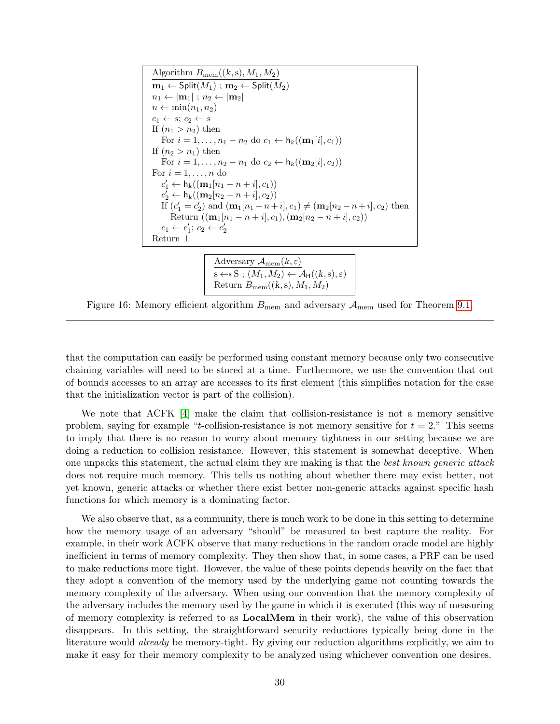<span id="page-29-1"></span>Algorithm 
$$
B_{\text{mem}}((k, s), M_1, M_2)
$$
  
\n $\mathbf{m}_1 \leftarrow \text{Split}(M_1) ; \mathbf{m}_2 \leftarrow \text{Split}(M_2)$   
\n $n_1 \leftarrow |\mathbf{m}_1| ; n_2 \leftarrow |\mathbf{m}_2|$   
\n $n \leftarrow \min(n_1, n_2)$   
\n $c_1 \leftarrow s; c_2 \leftarrow s$   
\nIf  $(n_1 > n_2)$  then  
\nFor  $i = 1, ..., n_1 - n_2$  do  $c_1 \leftarrow h_k((\mathbf{m}_1[i], c_1))$   
\nIf  $(n_2 > n_1)$  then  
\nFor  $i = 1, ..., n_2 - n_1$  do  $c_2 \leftarrow h_k((\mathbf{m}_2[i], c_2))$   
\nFor  $i = 1, ..., n$  do  
\n $c'_1 \leftarrow h_k((\mathbf{m}_1[n_1 - n + i], c_1))$   
\n $c'_2 \leftarrow h_k((\mathbf{m}_2[n_2 - n + i], c_2))$   
\nIf  $(c'_1 = c'_2)$  and  $(\mathbf{m}_1[n_1 - n + i], c_1) \neq (\mathbf{m}_2[n_2 - n + i], c_2)$  then  
\nReturn  $((\mathbf{m}_1[n_1 - n + i], c_1), (\mathbf{m}_2[n_2 - n + i], c_2))$   
\n $c_1 \leftarrow c'_1; c_2 \leftarrow c'_2$   
\nReturn  $\perp$ 

Adversary  $\overline{{\cal A}_{\rm mem}(k,\varepsilon)}$  $\overline{s \leftarrow s S : (M_1, M_2) \leftarrow A_{\rm H}((k, s), \varepsilon)}$ Return  $B_{\text{mem}}((k, s), M_1, M_2)$ 

<span id="page-29-0"></span>Figure 16: Memory efficient algorithm  $B_{\text{mem}}$  and adversary  $A_{\text{mem}}$  used for Theorem [9.1.](#page-28-1)

that the computation can easily be performed using constant memory because only two consecutive chaining variables will need to be stored at a time. Furthermore, we use the convention that out of bounds accesses to an array are accesses to its first element (this simplifies notation for the case that the initialization vector is part of the collision).

We note that ACFK [\[4\]](#page-31-5) make the claim that collision-resistance is not a memory sensitive problem, saying for example "t-collision-resistance is not memory sensitive for  $t = 2$ ." This seems to imply that there is no reason to worry about memory tightness in our setting because we are doing a reduction to collision resistance. However, this statement is somewhat deceptive. When one unpacks this statement, the actual claim they are making is that the best known generic attack does not require much memory. This tells us nothing about whether there may exist better, not yet known, generic attacks or whether there exist better non-generic attacks against specific hash functions for which memory is a dominating factor.

We also observe that, as a community, there is much work to be done in this setting to determine how the memory usage of an adversary "should" be measured to best capture the reality. For example, in their work ACFK observe that many reductions in the random oracle model are highly inefficient in terms of memory complexity. They then show that, in some cases, a PRF can be used to make reductions more tight. However, the value of these points depends heavily on the fact that they adopt a convention of the memory used by the underlying game not counting towards the memory complexity of the adversary. When using our convention that the memory complexity of the adversary includes the memory used by the game in which it is executed (this way of measuring of memory complexity is referred to as LocalMem in their work), the value of this observation disappears. In this setting, the straightforward security reductions typically being done in the literature would already be memory-tight. By giving our reduction algorithms explicitly, we aim to make it easy for their memory complexity to be analyzed using whichever convention one desires.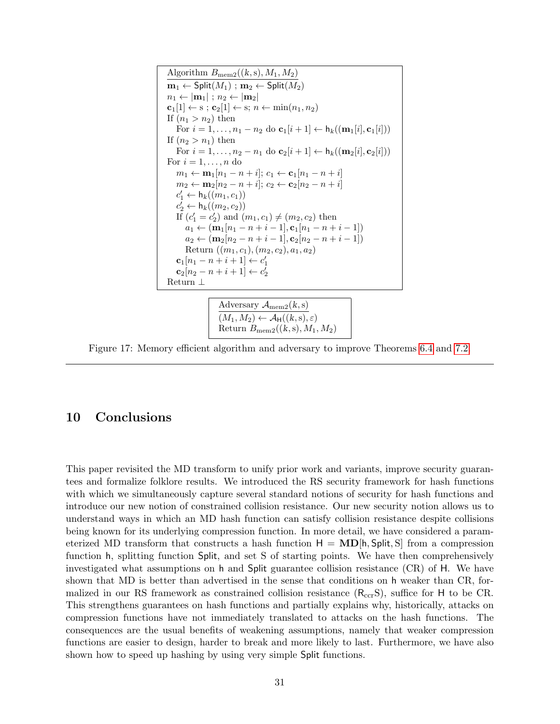Algorithm  $B_{\text{mem2}}((k, s), M_1, M_2)$  $\mathbf{m}_1 \leftarrow \mathsf{Split}(M_1)$ ;  $\mathbf{m}_2 \leftarrow \mathsf{Split}(M_2)$  $n_1 \leftarrow |\mathbf{m}_1|$ ;  $n_2 \leftarrow |\mathbf{m}_2|$  $\mathbf{c}_1[1] \leftarrow s$ ;  $\mathbf{c}_2[1] \leftarrow s$ ;  $n \leftarrow \min(n_1, n_2)$ If  $(n_1 > n_2)$  then For  $i = 1, \ldots, n_1 - n_2$  do  $\mathbf{c}_1[i+1] \leftarrow \mathbf{h}_k((\mathbf{m}_1[i], \mathbf{c}_1[i]))$ If  $(n_2 > n_1)$  then For  $i = 1, ..., n_2 - n_1$  do  $\mathbf{c}_2[i+1] \leftarrow h_k((\mathbf{m}_2[i], \mathbf{c}_2[i]))$ For  $i = 1, \ldots, n$  do  $m_1 \leftarrow \mathbf{m}_1[n_1 - n + i]; \, c_1 \leftarrow \mathbf{c}_1[n_1 - n + i]$  $m_2 \leftarrow m_2[n_2 - n + i]; c_2 \leftarrow c_2[n_2 - n + i]$  $c'_1 \leftarrow \mathsf{h}_k((m_1, c_1))$  $c'_2 \leftarrow h_k((m_2, c_2))$ If  $(c'_1 = c'_2)$  and  $(m_1, c_1) \neq (m_2, c_2)$  then  $a_1 \leftarrow (\mathbf{m}_1[n_1 - n + i - 1], \mathbf{c}_1[n_1 - n + i - 1])$  $a_2 \leftarrow (\mathbf{m}_2[n_2 - n + i - 1], \mathbf{c}_2[n_2 - n + i - 1])$ Return  $((m_1, c_1), (m_2, c_2), a_1, a_2)$  $c_1[n_1 - n + i + 1] \leftarrow c'_1$  $c_2[n_2 - n + i + 1] \leftarrow c'_2$ Return ⊥

> Adversary  $\mathcal{A}_{\text{mem2}}(k, s)$  $(M_1, M_2) \leftarrow \mathcal{A}_{\mathsf{H}}((k, s), \varepsilon)$ Return  $B_{\text{mem2}}((k, s), M_1, M_2)$

<span id="page-30-1"></span>Figure 17: Memory efficient algorithm and adversary to improve Theorems [6.4](#page-16-0) and [7.2.](#page-21-1)

### <span id="page-30-0"></span>10 Conclusions

This paper revisited the MD transform to unify prior work and variants, improve security guarantees and formalize folklore results. We introduced the RS security framework for hash functions with which we simultaneously capture several standard notions of security for hash functions and introduce our new notion of constrained collision resistance. Our new security notion allows us to understand ways in which an MD hash function can satisfy collision resistance despite collisions being known for its underlying compression function. In more detail, we have considered a parameterized MD transform that constructs a hash function  $H = MD[h, Split, S]$  from a compression function h, splitting function Split, and set S of starting points. We have then comprehensively investigated what assumptions on h and Split guarantee collision resistance (CR) of H. We have shown that MD is better than advertised in the sense that conditions on h weaker than CR, formalized in our RS framework as constrained collision resistance  $(R_{\rm ccr}S)$ , suffice for H to be CR. This strengthens guarantees on hash functions and partially explains why, historically, attacks on compression functions have not immediately translated to attacks on the hash functions. The consequences are the usual benefits of weakening assumptions, namely that weaker compression functions are easier to design, harder to break and more likely to last. Furthermore, we have also shown how to speed up hashing by using very simple Split functions.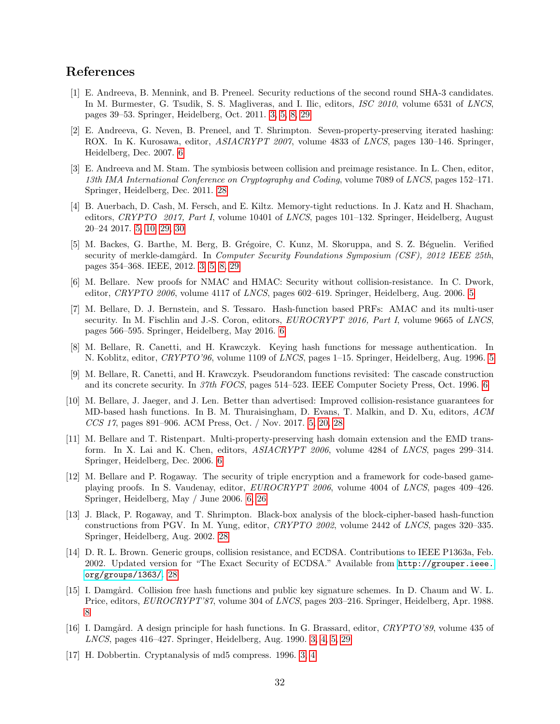#### References

- <span id="page-31-2"></span>[1] E. Andreeva, B. Mennink, and B. Preneel. Security reductions of the second round SHA-3 candidates. In M. Burmester, G. Tsudik, S. S. Magliveras, and I. Ilic, editors, *ISC 2010*, volume 6531 of *LNCS*, pages 39–53. Springer, Heidelberg, Oct. 2011. [3,](#page-2-1) [5,](#page-4-0) [8,](#page-7-2) [29](#page-28-3)
- <span id="page-31-11"></span>[2] E. Andreeva, G. Neven, B. Preneel, and T. Shrimpton. Seven-property-preserving iterated hashing: ROX. In K. Kurosawa, editor, ASIACRYPT 2007, volume 4833 of LNCS, pages 130–146. Springer, Heidelberg, Dec. 2007. [6](#page-5-2)
- <span id="page-31-16"></span>[3] E. Andreeva and M. Stam. The symbiosis between collision and preimage resistance. In L. Chen, editor, 13th IMA International Conference on Cryptography and Coding, volume 7089 of LNCS, pages 152–171. Springer, Heidelberg, Dec. 2011. [28](#page-27-2)
- <span id="page-31-5"></span>[4] B. Auerbach, D. Cash, M. Fersch, and E. Kiltz. Memory-tight reductions. In J. Katz and H. Shacham, editors, CRYPTO 2017, Part I, volume 10401 of LNCS, pages 101–132. Springer, Heidelberg, August 20–24 2017. [5,](#page-4-0) [10,](#page-9-3) [29,](#page-28-3) [30](#page-29-1)
- <span id="page-31-3"></span>[5] M. Backes, G. Barthe, M. Berg, B. Grégoire, C. Kunz, M. Skoruppa, and S. Z. Béguelin. Verified security of merkle-damgård. In *Computer Security Foundations Symposium (CSF)*, 2012 IEEE 25th, pages 354–368. IEEE, 2012. [3,](#page-2-1) [5,](#page-4-0) [8,](#page-7-2) [29](#page-28-3)
- <span id="page-31-7"></span>[6] M. Bellare. New proofs for NMAC and HMAC: Security without collision-resistance. In C. Dwork, editor, *CRYPTO 2006*, volume 4117 of *LNCS*, pages 602–619. Springer, Heidelberg, Aug. 2006. [5](#page-4-0)
- <span id="page-31-9"></span>[7] M. Bellare, D. J. Bernstein, and S. Tessaro. Hash-function based PRFs: AMAC and its multi-user security. In M. Fischlin and J.-S. Coron, editors, EUROCRYPT 2016, Part I, volume 9665 of LNCS, pages 566–595. Springer, Heidelberg, May 2016. [6](#page-5-2)
- <span id="page-31-6"></span>[8] M. Bellare, R. Canetti, and H. Krawczyk. Keying hash functions for message authentication. In N. Koblitz, editor, CRYPTO'96, volume 1109 of LNCS, pages 1–15. Springer, Heidelberg, Aug. 1996. [5](#page-4-0)
- <span id="page-31-8"></span>[9] M. Bellare, R. Canetti, and H. Krawczyk. Pseudorandom functions revisited: The cascade construction and its concrete security. In 37th FOCS, pages 514–523. IEEE Computer Society Press, Oct. 1996. [6](#page-5-2)
- <span id="page-31-4"></span>[10] M. Bellare, J. Jaeger, and J. Len. Better than advertised: Improved collision-resistance guarantees for MD-based hash functions. In B. M. Thuraisingham, D. Evans, T. Malkin, and D. Xu, editors, ACM CCS 17, pages 891–906. ACM Press, Oct. / Nov. 2017. [5,](#page-4-0) [20,](#page-19-1) [28](#page-27-2)
- <span id="page-31-10"></span>[11] M. Bellare and T. Ristenpart. Multi-property-preserving hash domain extension and the EMD transform. In X. Lai and K. Chen, editors, ASIACRYPT 2006, volume 4284 of LNCS, pages 299–314. Springer, Heidelberg, Dec. 2006. [6](#page-5-2)
- <span id="page-31-12"></span>[12] M. Bellare and P. Rogaway. The security of triple encryption and a framework for code-based gameplaying proofs. In S. Vaudenay, editor, EUROCRYPT 2006, volume 4004 of LNCS, pages 409–426. Springer, Heidelberg, May / June 2006. [6,](#page-5-2) [26](#page-25-1)
- <span id="page-31-15"></span>[13] J. Black, P. Rogaway, and T. Shrimpton. Black-box analysis of the block-cipher-based hash-function constructions from PGV. In M. Yung, editor, CRYPTO 2002, volume 2442 of LNCS, pages 320–335. Springer, Heidelberg, Aug. 2002. [28](#page-27-2)
- <span id="page-31-14"></span>[14] D. R. L. Brown. Generic groups, collision resistance, and ECDSA. Contributions to IEEE P1363a, Feb. 2002. Updated version for "The Exact Security of ECDSA." Available from [http://grouper.ieee.](http://grouper.ieee.org/groups/1363/) [org/groups/1363/](http://grouper.ieee.org/groups/1363/). [28](#page-27-2)
- <span id="page-31-13"></span>[15] I. Damgård. Collision free hash functions and public key signature schemes. In D. Chaum and W. L. Price, editors, EUROCRYPT'87, volume 304 of LNCS, pages 203–216. Springer, Heidelberg, Apr. 1988. [8](#page-7-2)
- <span id="page-31-0"></span>[16] I. Damgård. A design principle for hash functions. In G. Brassard, editor, CRYPTO'89, volume 435 of LNCS, pages 416–427. Springer, Heidelberg, Aug. 1990. [3,](#page-2-1) [4,](#page-3-0) [5,](#page-4-0) [29](#page-28-3)
- <span id="page-31-1"></span>[17] H. Dobbertin. Cryptanalysis of md5 compress. 1996. [3,](#page-2-1) [4](#page-3-0)